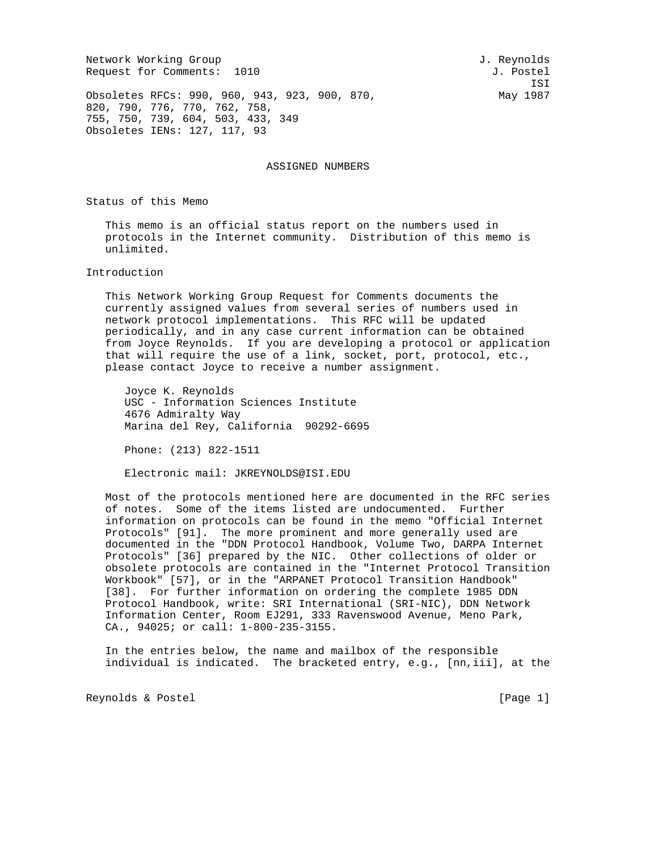Network Working Group and Services and Services and J. Reynolds Request for Comments: 1010 J. Postel

ISI

Obsoletes RFCs: 990, 960, 943, 923, 900, 870, Nay 1987 820, 790, 776, 770, 762, 758, 755, 750, 739, 604, 503, 433, 349 Obsoletes IENs: 127, 117, 93

ASSIGNED NUMBERS

Status of this Memo

 This memo is an official status report on the numbers used in protocols in the Internet community. Distribution of this memo is unlimited.

## Introduction

 This Network Working Group Request for Comments documents the currently assigned values from several series of numbers used in network protocol implementations. This RFC will be updated periodically, and in any case current information can be obtained from Joyce Reynolds. If you are developing a protocol or application that will require the use of a link, socket, port, protocol, etc., please contact Joyce to receive a number assignment.

 Joyce K. Reynolds USC - Information Sciences Institute 4676 Admiralty Way Marina del Rey, California 90292-6695

Phone: (213) 822-1511

Electronic mail: JKREYNOLDS@ISI.EDU

 Most of the protocols mentioned here are documented in the RFC series of notes. Some of the items listed are undocumented. Further information on protocols can be found in the memo "Official Internet Protocols" [91]. The more prominent and more generally used are documented in the "DDN Protocol Handbook, Volume Two, DARPA Internet Protocols" [36] prepared by the NIC. Other collections of older or obsolete protocols are contained in the "Internet Protocol Transition Workbook" [57], or in the "ARPANET Protocol Transition Handbook" [38]. For further information on ordering the complete 1985 DDN Protocol Handbook, write: SRI International (SRI-NIC), DDN Network Information Center, Room EJ291, 333 Ravenswood Avenue, Meno Park, CA., 94025; or call: 1-800-235-3155.

 In the entries below, the name and mailbox of the responsible individual is indicated. The bracketed entry, e.g., [nn,iii], at the

Reynolds & Postel [Page 1]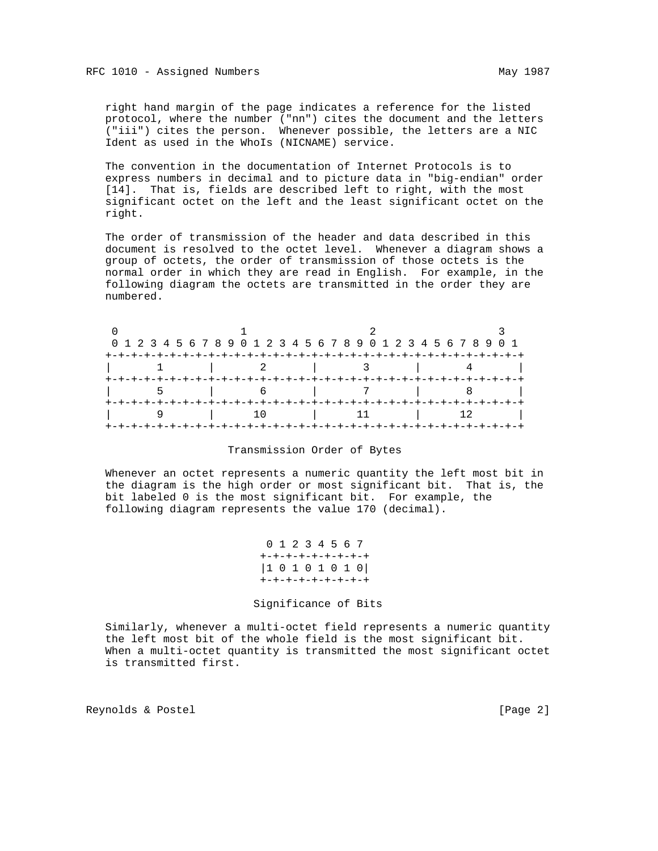right hand margin of the page indicates a reference for the listed protocol, where the number ("nn") cites the document and the letters ("iii") cites the person. Whenever possible, the letters are a NIC Ident as used in the WhoIs (NICNAME) service.

 The convention in the documentation of Internet Protocols is to express numbers in decimal and to picture data in "big-endian" order [14]. That is, fields are described left to right, with the most significant octet on the left and the least significant octet on the right.

 The order of transmission of the header and data described in this document is resolved to the octet level. Whenever a diagram shows a group of octets, the order of transmission of those octets is the normal order in which they are read in English. For example, in the following diagram the octets are transmitted in the order they are numbered.

|  | 0 1 2 3 4 5 6 7 8 9 0 1 2 3 4 5 6 7 8 9 0 1 2 3 4 5 6 7 8 9 0 1 |  |
|--|-----------------------------------------------------------------|--|
|  |                                                                 |  |
|  |                                                                 |  |
|  |                                                                 |  |
|  |                                                                 |  |
|  |                                                                 |  |

### Transmission Order of Bytes

 Whenever an octet represents a numeric quantity the left most bit in the diagram is the high order or most significant bit. That is, the bit labeled 0 is the most significant bit. For example, the following diagram represents the value 170 (decimal).

```
 0 1 2 3 4 5 6 7 
+-+-+-+-+-+-+-+-+
|1 0 1 0 1 0 1 0|
+-+-+-+-+-+-+-+-+
```
#### Significance of Bits

 Similarly, whenever a multi-octet field represents a numeric quantity the left most bit of the whole field is the most significant bit. When a multi-octet quantity is transmitted the most significant octet is transmitted first.

Reynolds & Postel [Page 2]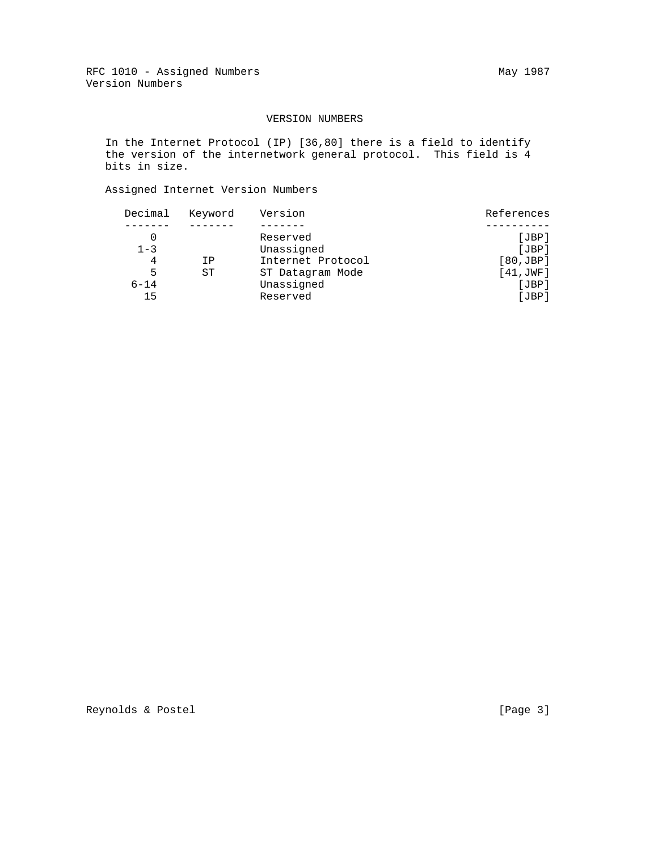## VERSION NUMBERS

 In the Internet Protocol (IP) [36,80] there is a field to identify the version of the internetwork general protocol. This field is 4 bits in size.

## Assigned Internet Version Numbers

| Decimal  | Keyword | Version           | References |
|----------|---------|-------------------|------------|
|          |         |                   |            |
|          |         | Reserved          | [JBP]      |
| $1 - 3$  |         | Unassigned        | [JBP]      |
| 4        | ΙP      | Internet Protocol | [80,JBP]   |
| 5        | ST      | ST Datagram Mode  | [41, JWF]  |
| $6 - 14$ |         | Unassigned        | JBP        |
| 15       |         | Reserved          | JBP        |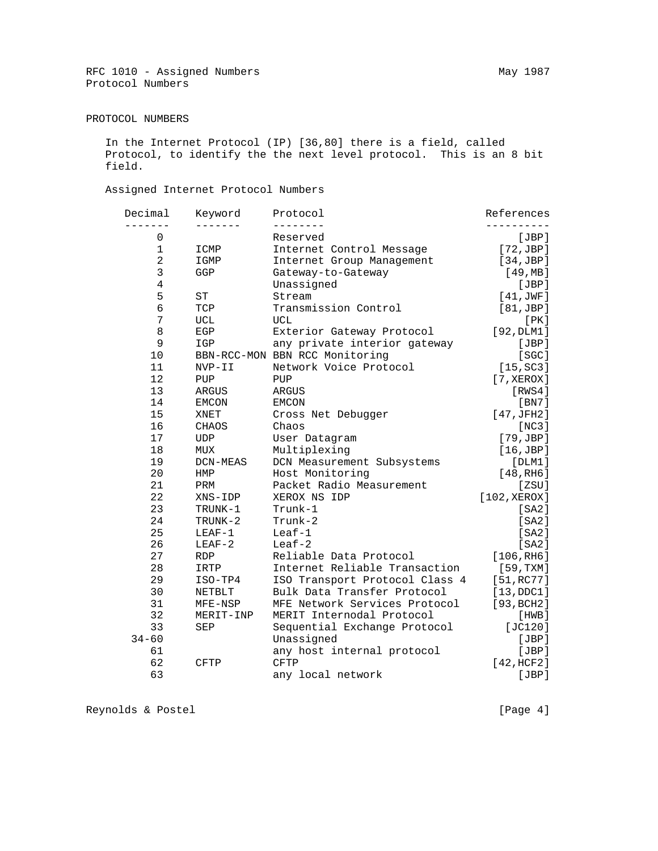## PROTOCOL NUMBERS

 In the Internet Protocol (IP) [36,80] there is a field, called Protocol, to identify the the next level protocol. This is an 8 bit field.

## Assigned Internet Protocol Numbers

| Decimal        | Keyword     | Protocol                       | References              |
|----------------|-------------|--------------------------------|-------------------------|
| - - - - - - -  |             |                                |                         |
| $\mathsf 0$    |             | Reserved                       | [JBP]                   |
| $\mathbf{1}$   | ICMP        | Internet Control Message       | [72,JBP]                |
| $\overline{2}$ | IGMP        | Internet Group Management      | [34,JBP]                |
| 3              | GGP         | Gateway-to-Gateway             | [49, MB]                |
| $\overline{4}$ |             | Unassigned                     | [JBP]                   |
| 5              | ST          | Stream                         | [41, JWF]               |
| $\overline{6}$ | TCP         | Transmission Control           | [81,JBP]                |
| 7              | UCL         | UCL                            | [PK]                    |
| 8              | EGP         | Exterior Gateway Protocol      | [92, DLM1]              |
| 9              | IGP         | any private interior gateway   | [JBP]                   |
| 10             |             | BBN-RCC-MON BBN RCC Monitoring | [SC]                    |
| 11             | NVP-II      | Network Voice Protocol         | [15, SC3]               |
| 12             | PUP         | PUP                            | $[7, \times$ EROX]      |
| 13             | ARGUS       | ARGUS                          | [RWS4]                  |
| 14             | EMCON       | <b>EMCON</b>                   | [BN7]                   |
| 15             | XNET        | Cross Net Debugger             | [47,JFH2]               |
| 16             | CHAOS       | Chaos                          | [NC3]                   |
| 17             | <b>UDP</b>  | User Datagram                  | [79,JBP]                |
| 18             | MUX         | Multiplexing                   | [16,JBP]                |
| 19             | DCN-MEAS    | DCN Measurement Subsystems     | [DIM1]                  |
| 20             | HMP         | Host Monitoring                | [48, RH6]               |
| 21             | PRM         | Packet Radio Measurement       | [ZSU]                   |
| 22             | XNS-IDP     | XEROX NS IDP                   | [102, XEROX]            |
| 23             | TRUNK-1     | Trunk-1                        | [SA2]                   |
| 24             | TRUNK-2     | Trunk-2                        | [SA2]                   |
| 25             | $LEAF-1$    | $Leaf-1$                       | [SA2]                   |
| 26             | $LEAF-2$    | $Leaf-2$                       | [SA2]                   |
| 27             | <b>RDP</b>  | Reliable Data Protocol         | [106, R <sub>H6</sub> ] |
| 28             | IRTP        | Internet Reliable Transaction  | [59, TXM]               |
| 29             | ISO-TP4     | ISO Transport Protocol Class 4 | [51, RC77]              |
| 30             | NETBLT      | Bulk Data Transfer Protocol    | [13, DDC1]              |
| 31             | $MFE-NSP$   | MFE Network Services Protocol  | [93, BCH2]              |
| 32             | MERIT-INP   | MERIT Internodal Protocol      | [HWB]                   |
| 33             | SEP         | Sequential Exchange Protocol   | [JC120]                 |
| $34 - 60$      |             | Unassigned                     | [JBP]                   |
| 61             |             | any host internal protocol     | [JBP]                   |
| 62             | <b>CFTP</b> | <b>CFTP</b>                    | [42, HCF2]              |
| 63             |             | any local network              | [JBP]                   |
|                |             |                                |                         |

Reynolds & Postel [Page 4]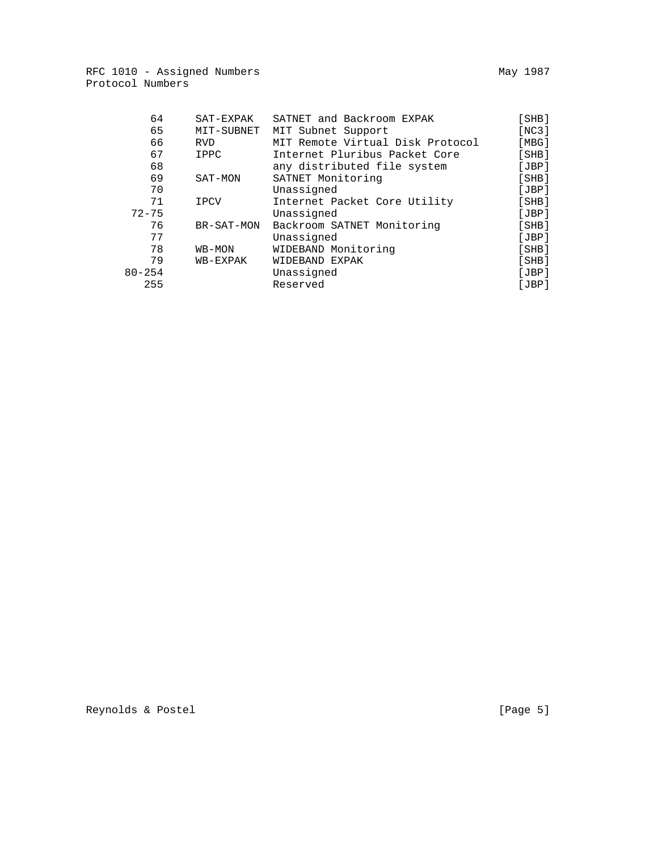| 64         | SAT-EXPAK   | SATNET and Backroom EXPAK        | [SHB] |
|------------|-------------|----------------------------------|-------|
| 65         | MIT-SUBNET  | MIT Subnet Support               | [NC3] |
| 66         | <b>RVD</b>  | MIT Remote Virtual Disk Protocol | [MBG] |
| 67         | IPPC        | Internet Pluribus Packet Core    | [SHB] |
| 68         |             | any distributed file system      | [JBP] |
| 69         | SAT-MON     | SATNET Monitoring                | [SHB] |
| 70         |             | Unassigned                       | [JBP] |
| 71         | <b>IPCV</b> | Internet Packet Core Utility     | [SHB] |
| $72 - 75$  |             | Unassigned                       | [JBP] |
| 76         | BR-SAT-MON  | Backroom SATNET Monitoring       | [SHB] |
| 77         |             | Unassigned                       | [JBP] |
| 78         | WB-MON      | WIDEBAND Monitoring              | [SHB] |
| 79         | WB-EXPAK    | WIDEBAND EXPAK                   | [SHB] |
| $80 - 254$ |             | Unassigned                       | [JBP] |
| 255        |             | Reserved                         | [JBP] |

Reynolds & Postel [Page 5]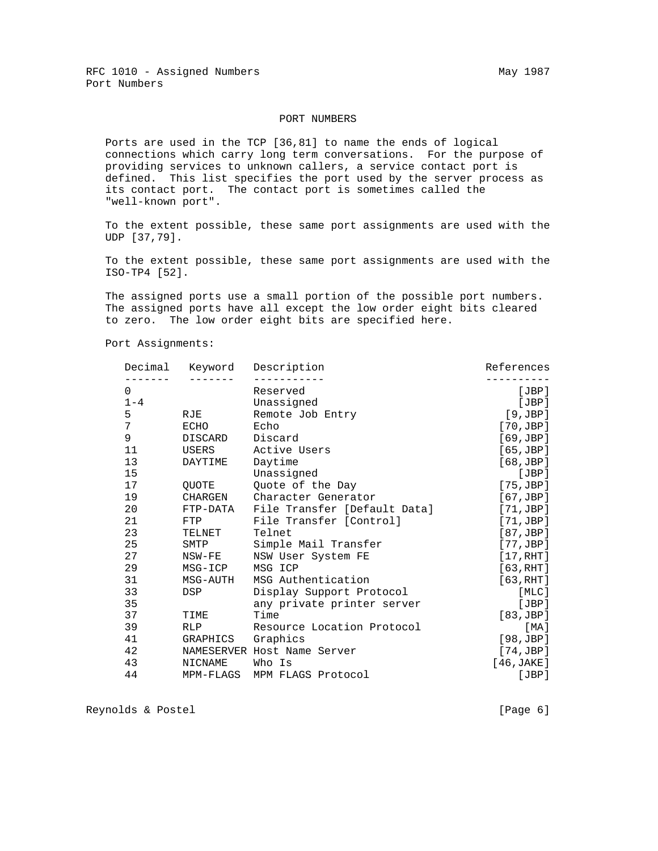RFC 1010 - Assigned Numbers May 1987 Port Numbers

#### PORT NUMBERS

 Ports are used in the TCP [36,81] to name the ends of logical connections which carry long term conversations. For the purpose of providing services to unknown callers, a service contact port is defined. This list specifies the port used by the server process as its contact port. The contact port is sometimes called the "well-known port".

 To the extent possible, these same port assignments are used with the UDP [37,79].

 To the extent possible, these same port assignments are used with the ISO-TP4 [52].

 The assigned ports use a small portion of the possible port numbers. The assigned ports have all except the low order eight bits cleared to zero. The low order eight bits are specified here.

Port Assignments:

|         |                 | Decimal Keyword Description  | References         |
|---------|-----------------|------------------------------|--------------------|
| 0       |                 | Reserved                     | [JBP]              |
| $1 - 4$ |                 | Unassigned                   | [JBP]              |
| 5       | RJE             | Remote Job Entry             | [9,JBP]            |
| 7       | ECHO            | Echo                         | [70,JBP]           |
| 9       | DISCARD Discard |                              | [69,JBP]           |
| 11      | USERS           | Active Users                 | [65,JBP]           |
| 13      | DAYTIME         | Daytime                      | [68,JBP]           |
| 15      |                 | Unassigned                   | [JBP]              |
| 17      | OUOTE           | Quote of the Day             | $[75, \text{JBP}]$ |
| 19      | CHARGEN         | Character Generator          | [67,JBP]           |
| 20      | FTP-DATA        | File Transfer [Default Data] | [71,JBP]           |
| 21      | FTP             | File Transfer [Control]      | [71,JBP]           |
| 23      | TELNET          | Telnet                       | [87, JBP]          |
| 25      | SMTP            | Simple Mail Transfer         | [77,JBP]           |
| 27      | NSW-FE          | NSW User System FE           | [17, RHT]          |
| 29      | MSG-ICP         | MSG ICP                      | [63, RHT]          |
| 31      | MSG-AUTH        | MSG Authentication           | [63, RHT]          |
| 33      | DSP             | Display Support Protocol     | [MLC]              |
| 35      |                 | any private printer server   | [JBP]              |
| 37      | TIME            | Time                         | [83,JBP]           |
| 39      | RLP             | Resource Location Protocol   | [ MA ]             |
| 41      | GRAPHICS        | Graphics                     | [98,JBP]           |
| 42      |                 | NAMESERVER Host Name Server  | [74,JBP]           |
| 43      | NICNAME         | Who Is                       | [46,JAKE]          |
| 44      |                 | MPM-FLAGS MPM FLAGS Protocol | [JBP]              |
|         |                 |                              |                    |

Reynolds & Postel (Page 6)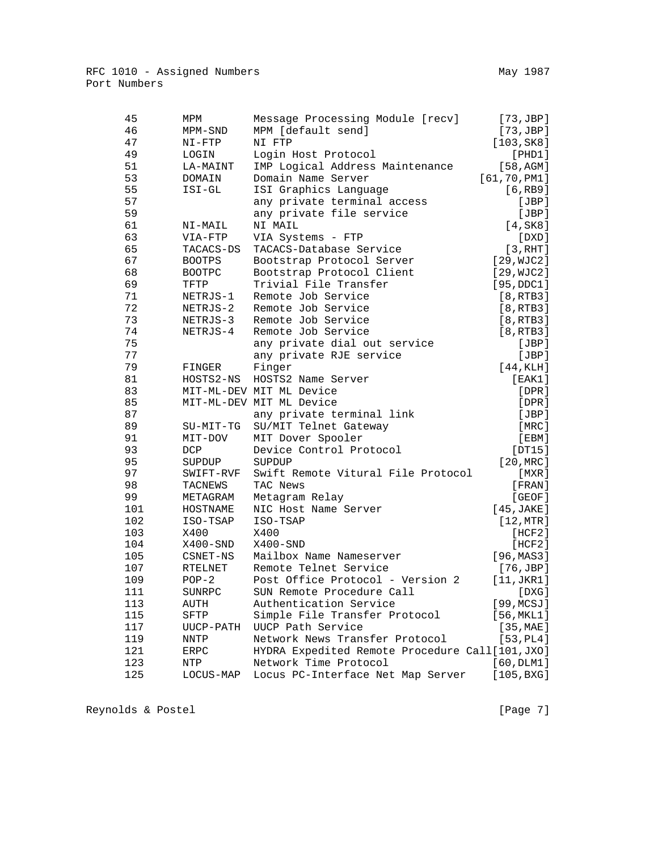| 45  | MPM           | Message Processing Module [recv]                | $[73, \text{JBP}]$ |
|-----|---------------|-------------------------------------------------|--------------------|
| 46  | MPM-SND       | MPM [default send]                              | [73,JBP]           |
| 47  | $NI-FTP$      | NI FTP                                          | [103, SK8]         |
| 49  | LOGIN         | Login Host Protocol                             | [PHD1]             |
| 51  | LA-MAINT      | IMP Logical Address Maintenance                 | [58, AGM]          |
| 53  | <b>DOMAIN</b> | Domain Name Server                              | [61, 70, PM1]      |
| 55  | ISI-GL        | ISI Graphics Language                           | [6, RB9]           |
| 57  |               | any private terminal access                     | [JBP]              |
| 59  |               | any private file service                        | [JBP]              |
| 61  | NI-MAIL       | NI MAIL                                         | [4,SK8]            |
| 63  | VIA-FTP       | VIA Systems - FTP                               | [DXD]              |
| 65  | TACACS-DS     | TACACS-Database Service                         | [3, RHT]           |
| 67  | <b>BOOTPS</b> | Bootstrap Protocol Server                       | [29, WJC2]         |
| 68  | <b>BOOTPC</b> | Bootstrap Protocol Client                       | [29, WJC2]         |
| 69  | TFTP          | Trivial File Transfer                           | [95, DDC1]         |
| 71  | NETRJS-1      | Remote Job Service                              | [8, RTB3]          |
| 72  | NETRJS-2      | Remote Job Service                              | [8, RTB3]          |
| 73  | NETRJS-3      | Remote Job Service                              | [8, RTB3]          |
| 74  | NETRJS-4      | Remote Job Service                              | [8, RTB3]          |
| 75  |               | any private dial out service                    | [JBP]              |
| 77  |               | any private RJE service                         | [JBP]              |
| 79  | FINGER        | Finger                                          | [44, KLH]          |
| 81  | HOSTS2-NS     | HOSTS2 Name Server                              | [EAK1]             |
| 83  |               | MIT-ML-DEV MIT ML Device                        | $[$ DPR $]$        |
| 85  |               | MIT-ML-DEV MIT ML Device                        | $[$ DPR $]$        |
| 87  |               | any private terminal link                       | [JBP]              |
| 89  | SU-MIT-TG     | SU/MIT Telnet Gateway                           | [MRC]              |
| 91  | MIT-DOV       | MIT Dover Spooler                               | [EBM]              |
| 93  | DCP           | Device Control Protocol                         | [DT15]             |
| 95  | SUPDUP        | SUPDUP                                          | $[20,$ MRC $]$     |
| 97  | SWIFT-RVF     | Swift Remote Vitural File Protocol              | [MXR]              |
| 98  | TACNEWS       | TAC News                                        | [FRAN]             |
| 99  | METAGRAM      | Metagram Relay                                  | [GEOF]             |
| 101 | HOSTNAME      | NIC Host Name Server                            | [45, JAKE]         |
| 102 | ISO-TSAP      | ISO-TSAP                                        | [12, MTR]          |
| 103 | X400          | X400                                            | [HCF2]             |
| 104 | X400-SND      | $X400-SND$                                      | [HCF2]             |
| 105 | CSNET-NS      | Mailbox Name Nameserver                         | [96, MAS3]         |
| 107 | RTELNET       | Remote Telnet Service                           | $[76, \text{JBP}]$ |
| 109 | $POP-2$       | Post Office Protocol - Version 2                | [11, JKR1]         |
| 111 | SUNRPC        | SUN Remote Procedure Call                       | [DXG]              |
| 113 | AUTH          | Authentication Service                          | [99, MCSJ]         |
| 115 | SFTP          | Simple File Transfer Protocol                   | [56, MKL1]         |
| 117 | UUCP-PATH     | UUCP Path Service                               | [35, MAE]          |
| 119 | <b>NNTP</b>   | Network News Transfer Protocol                  | [53, PL4]          |
| 121 | <b>ERPC</b>   | HYDRA Expedited Remote Procedure Call[101, JXO] |                    |
| 123 | NTP           | Network Time Protocol                           | [60, DLM1]         |
| 125 | LOCUS-MAP     | Locus PC-Interface Net Map Server               | [105, BXG]         |
|     |               |                                                 |                    |

Reynolds & Postel [Page 7]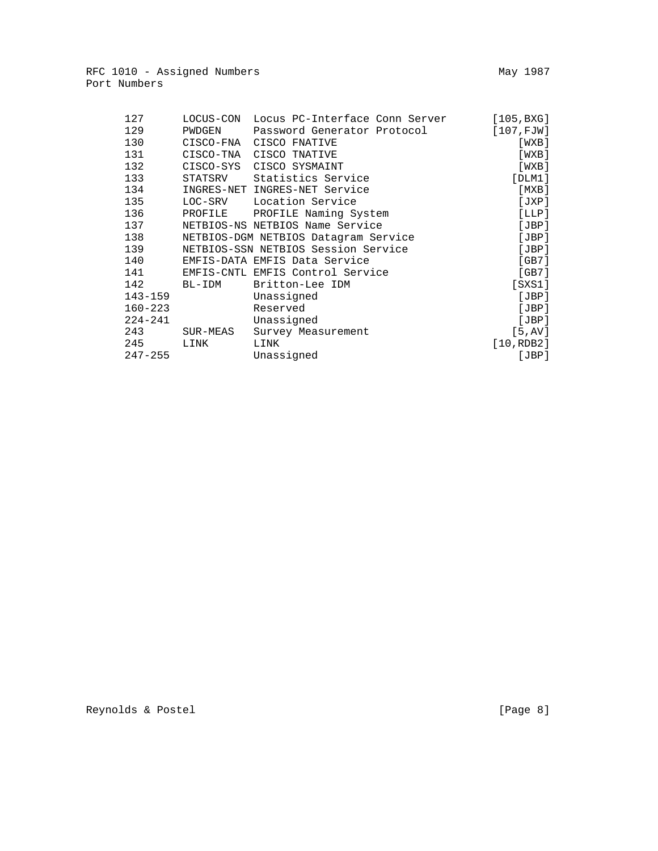| 127         | LOCUS-CON | Locus PC-Interface Conn Server       | [105, BXG]   |
|-------------|-----------|--------------------------------------|--------------|
| 129         | PWDGEN    | Password Generator Protocol          | [107, FJW]   |
| 130         | CISCO-FNA | CISCO FNATIVE                        | [WXB]        |
| 131         | CISCO-TNA | CISCO TNATIVE                        | [WXB]        |
| 132         |           | CISCO-SYS CISCO SYSMAINT             | [WXB]        |
| 133         | STATSRV   | Statistics Service                   | [DIM1]       |
| 134         |           | INGRES-NET INGRES-NET Service        | [MXB]        |
| 135         |           | LOC-SRV Location Service             | [JXP]        |
| 136         |           | PROFILE PROFILE Naming System        | [LLP]        |
| 137         |           | NETBIOS-NS NETBIOS Name Service      | [JBP]        |
| 138         |           | NETBIOS-DGM NETBIOS Datagram Service | [JBP]        |
| 139         |           | NETBIOS-SSN NETBIOS Session Service  | [JBP]        |
| 140         |           | EMFIS-DATA EMFIS Data Service        | [GB7]        |
| 141         |           | EMFIS-CNTL EMFIS Control Service     | [GB7]        |
| 142         | BL-IDM    | Britton-Lee IDM                      | $[$ SXS $1]$ |
| $143 - 159$ |           | Unassigned                           | [JBP]        |
| $160 - 223$ |           | Reserved                             | [JBP]        |
| $224 - 241$ |           | Unassigned                           | [JBP]        |
| 243         | SUR-MEAS  | Survey Measurement                   | [5, AV]      |
| 245         | LINK      | LINK                                 | [10, RDB2]   |
| $247 - 255$ |           | Unassigned                           | [JBP]        |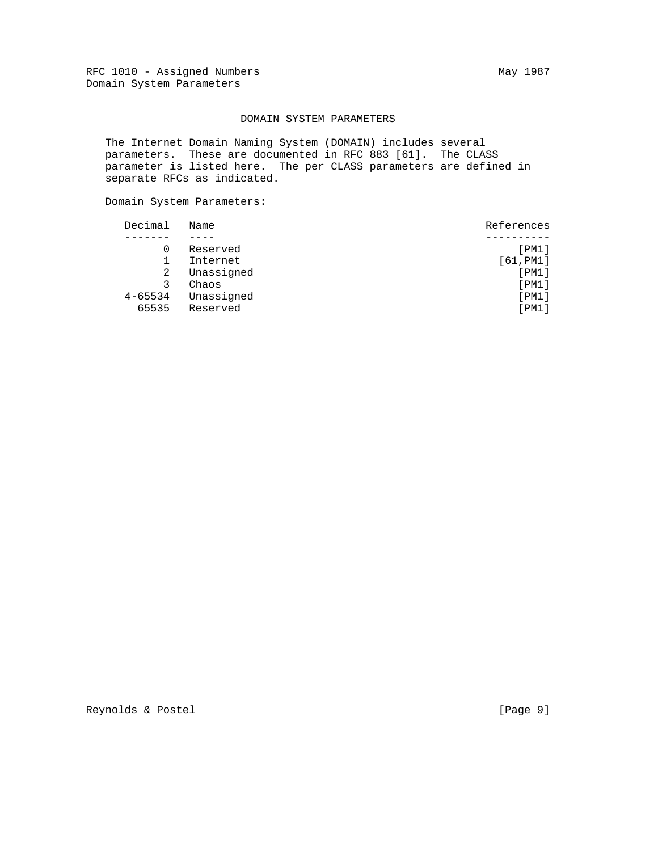## DOMAIN SYSTEM PARAMETERS

 The Internet Domain Naming System (DOMAIN) includes several parameters. These are documented in RFC 883 [61]. The CLASS parameter is listed here. The per CLASS parameters are defined in separate RFCs as indicated.

Domain System Parameters:

| Decimal     | Name       | References |
|-------------|------------|------------|
|             |            |            |
|             | Reserved   | [PM1]      |
|             | Internet   | [61, PMI]  |
| 2           | Unassigned | [PM1]      |
| 3           | Chaos      | [PM1]      |
| $4 - 65534$ | Unassigned | [PM1]      |
| 65535       | Reserved   | [PM1]      |
|             |            |            |

Reynolds & Postel [Page 9]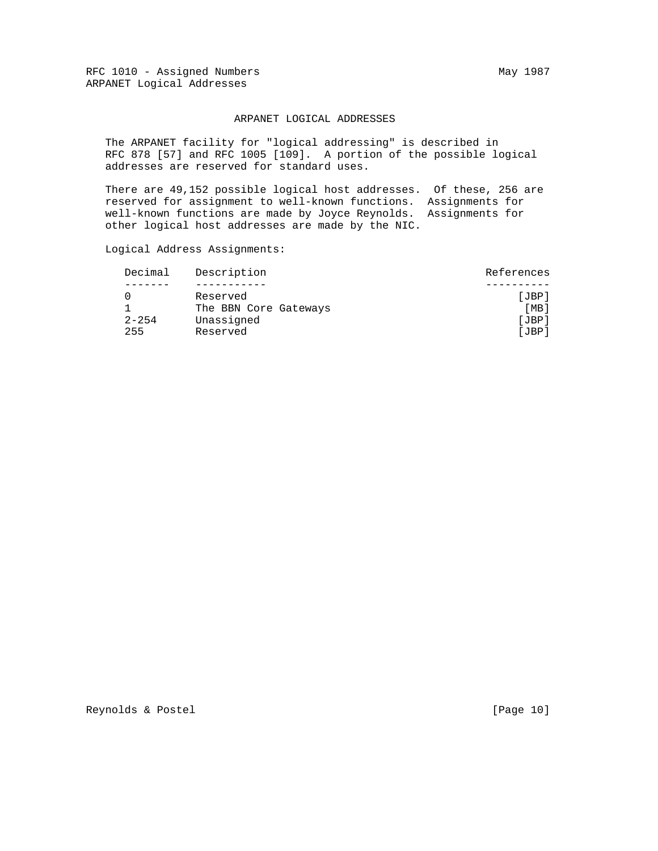#### ARPANET LOGICAL ADDRESSES

 The ARPANET facility for "logical addressing" is described in RFC 878 [57] and RFC 1005 [109]. A portion of the possible logical addresses are reserved for standard uses.

 There are 49,152 possible logical host addresses. Of these, 256 are reserved for assignment to well-known functions. Assignments for well-known functions are made by Joyce Reynolds. Assignments for other logical host addresses are made by the NIC.

Logical Address Assignments:

| Decimal   | Description           | References |
|-----------|-----------------------|------------|
|           |                       |            |
|           | Reserved              | [JBP]      |
|           | The BBN Core Gateways | [MB]       |
| $2 - 254$ | Unassigned            | [JBP]      |
| 255       | Reserved              | [JBP]      |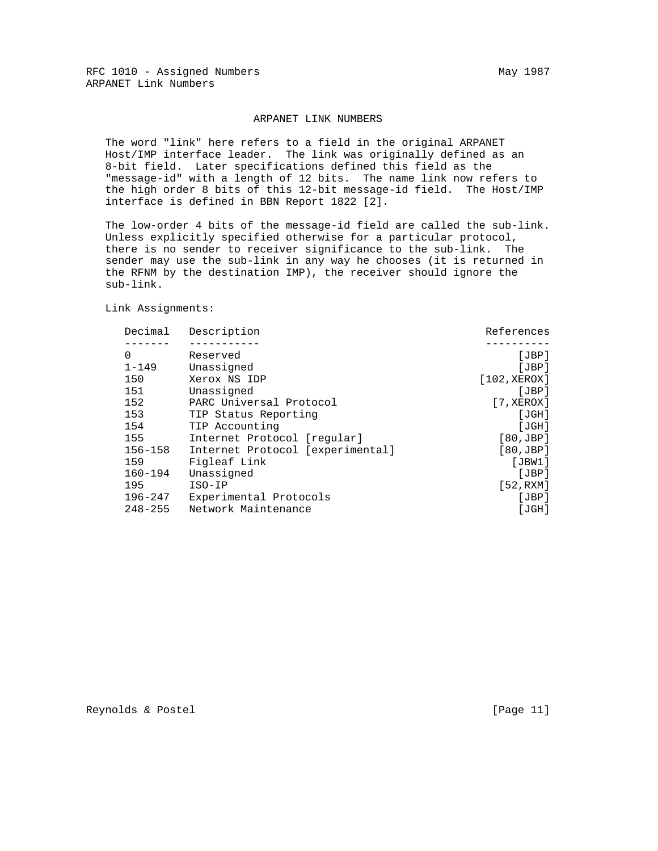#### ARPANET LINK NUMBERS

 The word "link" here refers to a field in the original ARPANET Host/IMP interface leader. The link was originally defined as an 8-bit field. Later specifications defined this field as the "message-id" with a length of 12 bits. The name link now refers to the high order 8 bits of this 12-bit message-id field. The Host/IMP interface is defined in BBN Report 1822 [2].

 The low-order 4 bits of the message-id field are called the sub-link. Unless explicitly specified otherwise for a particular protocol, there is no sender to receiver significance to the sub-link. The sender may use the sub-link in any way he chooses (it is returned in the RFNM by the destination IMP), the receiver should ignore the sub-link.

Link Assignments:

| Decimal     | Description                      | References            |
|-------------|----------------------------------|-----------------------|
|             |                                  |                       |
| $\Omega$    | Reserved                         | [JBP]                 |
| $1 - 149$   | Unassigned                       | [JBP]                 |
| 150         | Xerox NS IDP                     | [102, XEROX]          |
| 151         | Unassigned                       | [JBP]                 |
| 152         | PARC Universal Protocol          | $[7, \texttt{XEROX}]$ |
| 153         | TIP Status Reporting             | [JGH]                 |
| 154         | TIP Accounting                   | [JGH]                 |
| 155         | Internet Protocol [reqular]      | [80, JBP]             |
| $156 - 158$ | Internet Protocol [experimental] | [80, JBP]             |
| 159         | Figleaf Link                     | [JBW1]                |
| $160 - 194$ | Unassigned                       | [JBP]                 |
| 195         | $ISO-IP$                         | [52,RXM]              |
| $196 - 247$ | Experimental Protocols           | [JBP]                 |
| $248 - 255$ | Network Maintenance              | [JGH]                 |
|             |                                  |                       |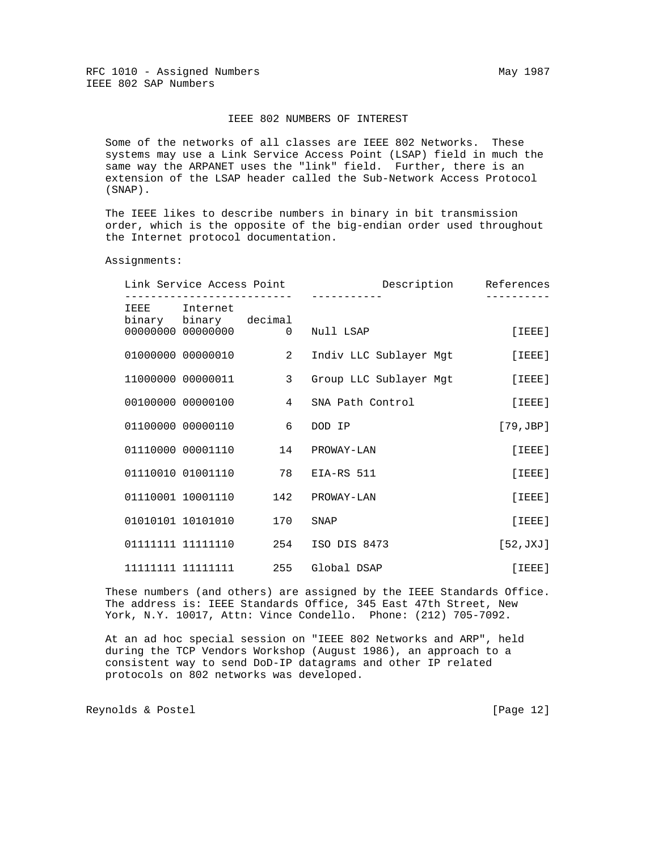#### IEEE 802 NUMBERS OF INTEREST

 Some of the networks of all classes are IEEE 802 Networks. These systems may use a Link Service Access Point (LSAP) field in much the same way the ARPANET uses the "link" field. Further, there is an extension of the LSAP header called the Sub-Network Access Protocol (SNAP).

 The IEEE likes to describe numbers in binary in bit transmission order, which is the opposite of the big-endian order used throughout the Internet protocol documentation.

Assignments:

| References         | Description                        | Link Service Access Point |                                        |  |
|--------------------|------------------------------------|---------------------------|----------------------------------------|--|
|                    |                                    |                           | IEEE Internet<br>binary binary decimal |  |
| $[$ TEEE $]$       | Null LSAP                          | $\overline{0}$            | 00000000 00000000                      |  |
| $[$ $IEEE$ $]$     | Indiv LLC Sublayer Mgt             |                           | 01000000 00000010 2                    |  |
| $[$ $IEEE$ $]$     | Group LLC Sublayer Mgt             | 3 <sup>7</sup>            | 11000000 00000011                      |  |
| $[$ $IEEE]$        | SNA Path Control                   |                           | 00100000 00000100 4                    |  |
| $[79, \text{JBP}]$ |                                    |                           | 01100000 00000110 6 DOD IP             |  |
| [IEEE]             | 01110000 00001110  14  PROWAY-LAN  |                           |                                        |  |
| [IEEE]             | 01110010 01001110 78 EIA-RS 511    |                           |                                        |  |
| [IEEE]             | 01110001 10001110 142 PROWAY-LAN   |                           |                                        |  |
| [IEEE]             | SNAP                               | 170                       | 01010101 10101010                      |  |
| [52, JXJ]          | 01111111 11111110 254 ISO DIS 8473 |                           |                                        |  |
| [IEEE]             | 255 Global DSAP                    |                           | 11111111 11111111                      |  |

 These numbers (and others) are assigned by the IEEE Standards Office. The address is: IEEE Standards Office, 345 East 47th Street, New York, N.Y. 10017, Attn: Vince Condello. Phone: (212) 705-7092.

 At an ad hoc special session on "IEEE 802 Networks and ARP", held during the TCP Vendors Workshop (August 1986), an approach to a consistent way to send DoD-IP datagrams and other IP related protocols on 802 networks was developed.

Reynolds & Postel [Page 12]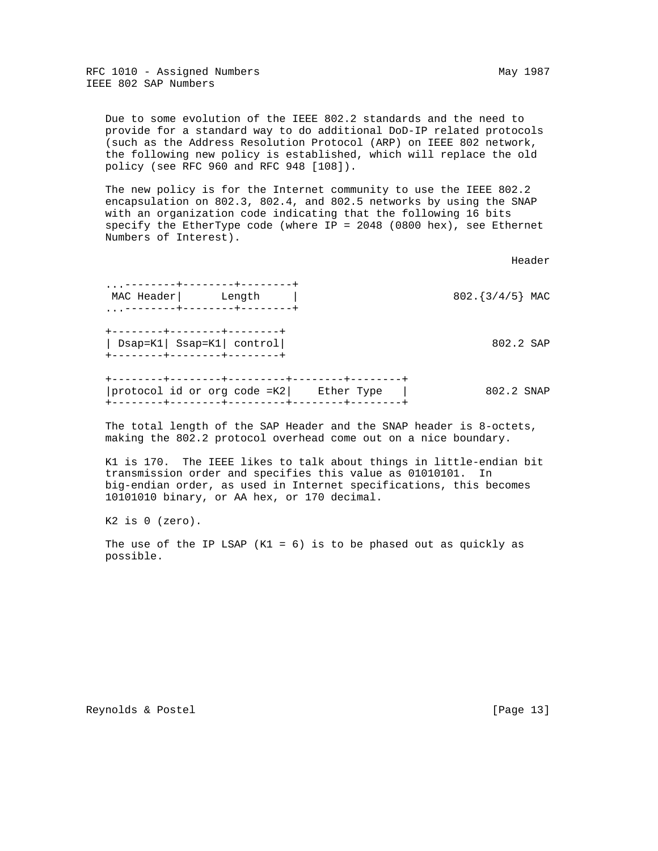Due to some evolution of the IEEE 802.2 standards and the need to provide for a standard way to do additional DoD-IP related protocols (such as the Address Resolution Protocol (ARP) on IEEE 802 network, the following new policy is established, which will replace the old policy (see RFC 960 and RFC 948 [108]).

 The new policy is for the Internet community to use the IEEE 802.2 encapsulation on 802.3, 802.4, and 802.5 networks by using the SNAP with an organization code indicating that the following 16 bits specify the EtherType code (where IP = 2048 (0800 hex), see Ethernet Numbers of Interest).

header is a state of the control of the control of the control of the control of the control of the control of

 ...--------+--------+--------+ MAC Header | Length | 802. [3/4/5] MAC ...--------+--------+--------+ +--------+--------+--------+ | Dsap=K1| Ssap=K1| control| 802.2 SAP +--------+--------+--------+ +--------+--------+---------+--------+--------+ |protocol id or org code =K2| Ether Type |  $802.2$  SNAP +--------+--------+---------+--------+--------+

 The total length of the SAP Header and the SNAP header is 8-octets, making the 802.2 protocol overhead come out on a nice boundary.

 K1 is 170. The IEEE likes to talk about things in little-endian bit transmission order and specifies this value as 01010101. In big-endian order, as used in Internet specifications, this becomes 10101010 binary, or AA hex, or 170 decimal.

K2 is 0 (zero).

The use of the IP LSAP  $(K1 = 6)$  is to be phased out as quickly as possible.

Reynolds & Postel [Page 13]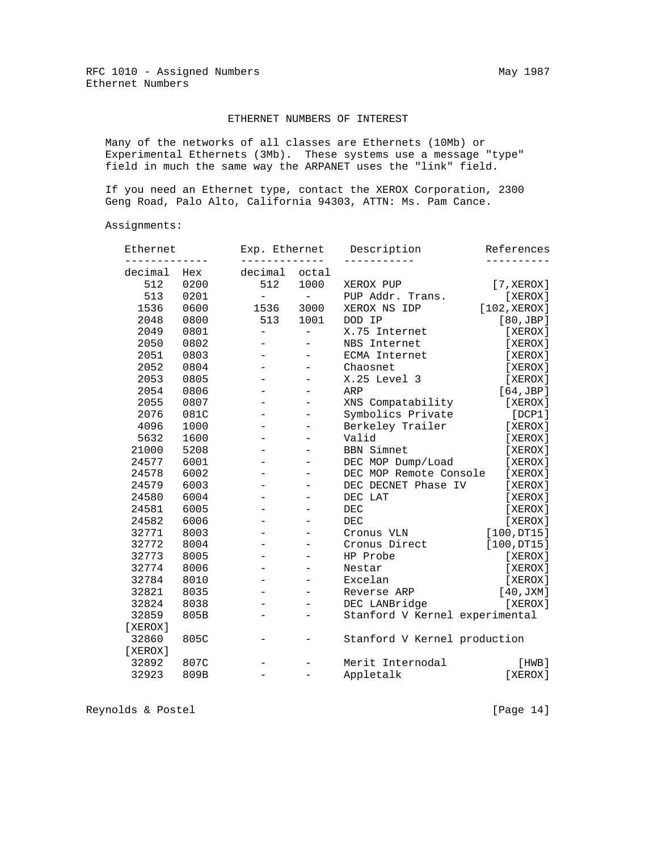## ETHERNET NUMBERS OF INTEREST

 Many of the networks of all classes are Ethernets (10Mb) or Experimental Ethernets (3Mb). These systems use a message "type" field in much the same way the ARPANET uses the "link" field.

 If you need an Ethernet type, contact the XEROX Corporation, 2300 Geng Road, Palo Alto, California 94303, ATTN: Ms. Pam Cance.

Assignments:

| Ethernet |      | Exp. Ethernet            |                          | Description                    | References   |
|----------|------|--------------------------|--------------------------|--------------------------------|--------------|
| decimal  | Hex  | decimal                  | octal                    |                                |              |
| 512      | 0200 | 512                      | 1000                     | XEROX PUP                      | [7, XEROX]   |
| 513      | 0201 | $\overline{\phantom{0}}$ | $\overline{\phantom{a}}$ | PUP Addr. Trans.               | [XEROX]      |
| 1536     | 0600 | 1536                     | 3000                     | XEROX NS IDP                   | [102, XEROX] |
| 2048     | 0800 | 513                      | 1001                     | DOD IP                         | [80,JBP]     |
| 2049     | 0801 | $\overline{\phantom{0}}$ | $\overline{\phantom{0}}$ | X.75 Internet                  | [XEROX]      |
| 2050     | 0802 |                          |                          | NBS Internet                   | [XEROX]      |
| 2051     | 0803 |                          | $\overline{\phantom{0}}$ | ECMA Internet                  | [XEROX]      |
| 2052     | 0804 |                          |                          | Chaosnet                       | [XEROX]      |
| 2053     | 0805 |                          |                          | X.25 Level 3                   | [XEROX]      |
| 2054     | 0806 |                          |                          | ARP                            | [64,JBP]     |
| 2055     | 0807 |                          |                          | XNS Compatability              | [XEROX]      |
| 2076     | 081C |                          |                          | Symbolics Private              | [DCP1]       |
| 4096     | 1000 |                          |                          | Berkeley Trailer               | [XEROX]      |
| 5632     | 1600 |                          |                          | Valid                          | [XEROX]      |
| 21000    | 5208 |                          |                          | <b>BBN Simnet</b>              | [XEROX]      |
| 24577    | 6001 |                          |                          | DEC MOP Dump/Load              | [XEROX]      |
| 24578    | 6002 |                          |                          | DEC MOP Remote Console         | [XEROX]      |
| 24579    | 6003 |                          |                          | DEC DECNET Phase IV            | [XEROX]      |
| 24580    | 6004 |                          |                          | DEC LAT                        | [XEROX]      |
| 24581    | 6005 |                          |                          | DEC                            | [XEROX]      |
| 24582    | 6006 |                          |                          | <b>DEC</b>                     | [XEROX]      |
| 32771    | 8003 |                          | $\overline{\phantom{0}}$ | Cronus VLN                     | [100,DT15]   |
| 32772    | 8004 |                          | $\overline{\phantom{0}}$ | Cronus Direct                  | [100,DT15]   |
| 32773    | 8005 | $-$                      | $\overline{\phantom{0}}$ | HP Probe                       | [XEROX]      |
| 32774    | 8006 |                          |                          | Nestar                         | [XEROX]      |
| 32784    | 8010 |                          |                          | Excelan                        | [XEROX]      |
| 32821    | 8035 |                          |                          | Reverse ARP                    | [40, JXM]    |
| 32824    | 8038 |                          |                          | DEC LANBridge                  | [XEROX]      |
| 32859    | 805B | $\overline{\phantom{0}}$ |                          | Stanford V Kernel experimental |              |
| [XEROX]  |      |                          |                          |                                |              |
| 32860    | 805C |                          |                          | Stanford V Kernel production   |              |
| [XEROX]  |      |                          |                          |                                |              |
| 32892    | 807C |                          |                          | Merit Internodal               | [HWB]        |
| 32923    | 809B |                          |                          | Appletalk                      | [XEROX]      |

Reynolds & Postel [Page 14]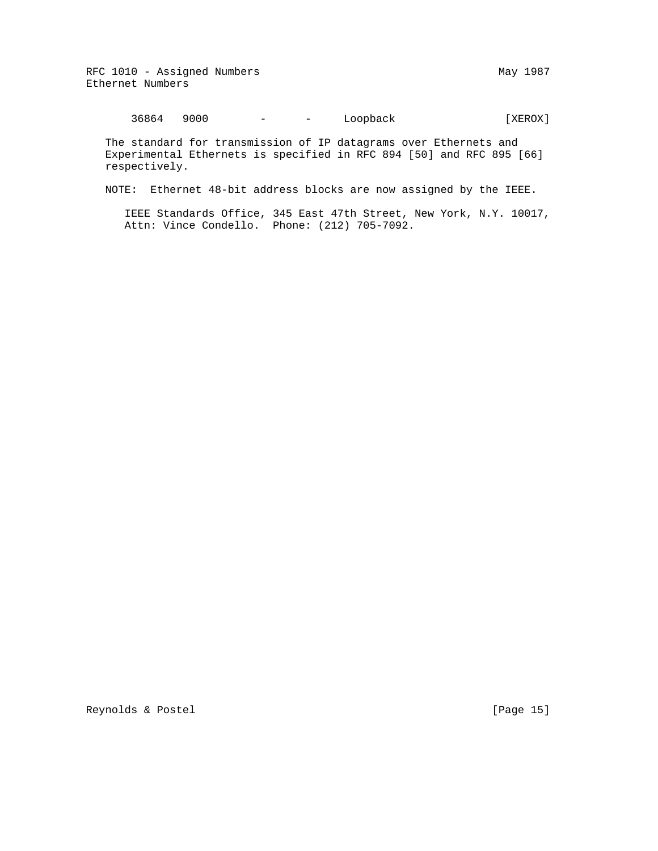RFC 1010 - Assigned Numbers May 1987 Ethernet Numbers

36864 9000 - - Loopback [XEROX]

 The standard for transmission of IP datagrams over Ethernets and Experimental Ethernets is specified in RFC 894 [50] and RFC 895 [66] respectively.

NOTE: Ethernet 48-bit address blocks are now assigned by the IEEE.

 IEEE Standards Office, 345 East 47th Street, New York, N.Y. 10017, Attn: Vince Condello. Phone: (212) 705-7092.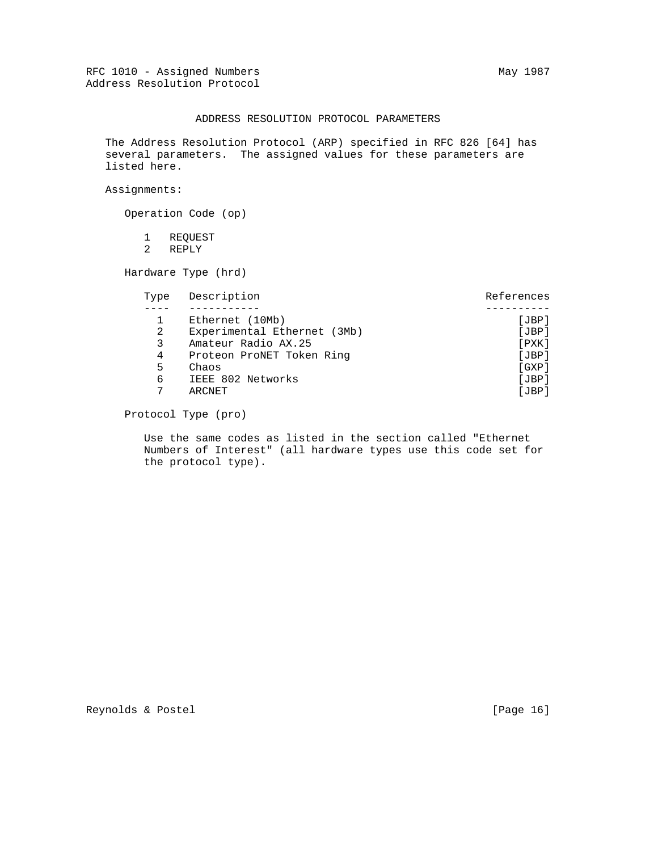## ADDRESS RESOLUTION PROTOCOL PARAMETERS

 The Address Resolution Protocol (ARP) specified in RFC 826 [64] has several parameters. The assigned values for these parameters are listed here.

Assignments:

Operation Code (op)

 1 REQUEST 2 REPLY

Hardware Type (hrd)

| Type | Description                 | References  |
|------|-----------------------------|-------------|
|      |                             |             |
|      | Ethernet (10Mb)             | [JBP]       |
| 2    | Experimental Ethernet (3Mb) | [JBP]       |
| 3    | Amateur Radio AX.25         | $[$ PXK $]$ |
| 4    | Proteon ProNET Token Ring   | [JBP]       |
| 5.   | Chaos                       | [GXP]       |
| 6    | IEEE 802 Networks           | [JBP]       |
| 7    | ARCNET                      | [JBP]       |

Protocol Type (pro)

 Use the same codes as listed in the section called "Ethernet Numbers of Interest" (all hardware types use this code set for the protocol type).

Reynolds & Postel [Page 16]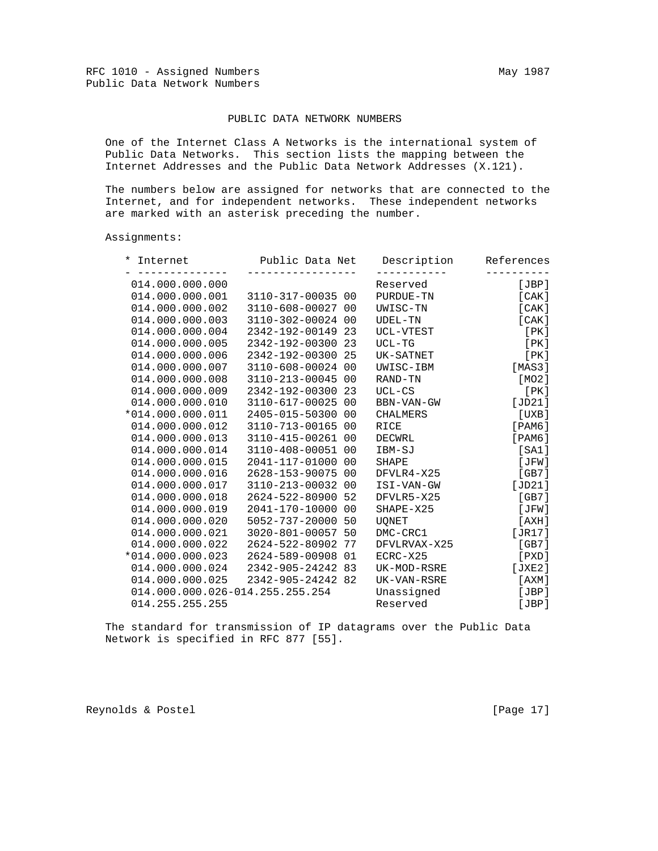## PUBLIC DATA NETWORK NUMBERS

 One of the Internet Class A Networks is the international system of Public Data Networks. This section lists the mapping between the Internet Addresses and the Public Data Network Addresses (X.121).

 The numbers below are assigned for networks that are connected to the Internet, and for independent networks. These independent networks are marked with an asterisk preceding the number.

Assignments:

| * Internet                      | Public Data Net   |    | Description  | References                |
|---------------------------------|-------------------|----|--------------|---------------------------|
| 014.000.000.000                 |                   |    | Reserved     | [JBP]                     |
| 014.000.000.001                 | 3110-317-00035 00 |    | PURDUE-TN    | [ CAK ]                   |
| 014.000.000.002                 | 3110-608-00027 00 |    | UWISC-TN     | [ CAK ]                   |
| 014.000.000.003                 | 3110-302-00024 00 |    | UDEL-TN      | [CAK]                     |
| 014.000.000.004                 | 2342-192-00149 23 |    | UCL-VTEST    | [ PK ]                    |
| 014.000.000.005                 | 2342-192-00300    | 23 | UCL-TG       | [ PK ]                    |
| 014.000.000.006                 | 2342-192-00300 25 |    | UK-SATNET    | [PK]                      |
| 014.000.000.007                 | 3110-608-00024 00 |    | UWISC-IBM    | [MAS3]                    |
| 014.000.000.008                 | 3110-213-00045 00 |    | RAND-TN      | [MO2]                     |
| 014.000.000.009                 | 2342-192-00300    | 23 | UCL-CS       | [PK]                      |
| 014.000.000.010                 | 3110-617-00025 00 |    | BBN-VAN-GW   | [JD21]                    |
| *014.000.000.011                | 2405-015-50300    | 00 | CHALMERS     | [UXB]                     |
| 014.000.000.012                 | 3110-713-00165 00 |    | RICE         | $[$ PAM $6$ ]             |
| 014.000.000.013                 | 3110-415-00261 00 |    | DECWRL       | [PAM6]                    |
| 014.000.000.014                 | 3110-408-00051 00 |    | IBM-SJ       | [SA1]                     |
| 014.000.000.015                 | 2041-117-01000 00 |    | SHAPE        | [JFW]                     |
| 014.000.000.016                 | 2628-153-90075 00 |    | DFVLR4-X25   | [GB7]                     |
| 014.000.000.017                 | 3110-213-00032 00 |    | ISI-VAN-GW   | [JD21]                    |
| 014.000.000.018                 | 2624-522-80900 52 |    | DFVLR5-X25   | [GB7]                     |
| 014.000.000.019                 | 2041-170-10000 00 |    | SHAPE-X25    | $[\overline{\text{JFW}}]$ |
| 014.000.000.020                 | 5052-737-20000    | 50 | UQNET        | [AXH]                     |
| 014.000.000.021                 | 3020-801-00057 50 |    | DMC-CRC1     | [JRI7]                    |
| 014.000.000.022                 | 2624-522-80902    | 77 | DFVLRVAX-X25 | [GB7]                     |
| $*014.000.000.023$              | 2624-589-00908 01 |    | ECRC-X25     | [PXD]                     |
| 014.000.000.024                 | 2342-905-24242 83 |    | UK-MOD-RSRE  | [JXE2]                    |
| 014.000.000.025                 | 2342-905-24242 82 |    | UK-VAN-RSRE  | [AXM]                     |
| 014.000.000.026-014.255.255.254 |                   |    | Unassigned   | [JBP]                     |
| 014.255.255.255                 |                   |    | Reserved     | [JBP]                     |

 The standard for transmission of IP datagrams over the Public Data Network is specified in RFC 877 [55].

Reynolds & Postel [Page 17]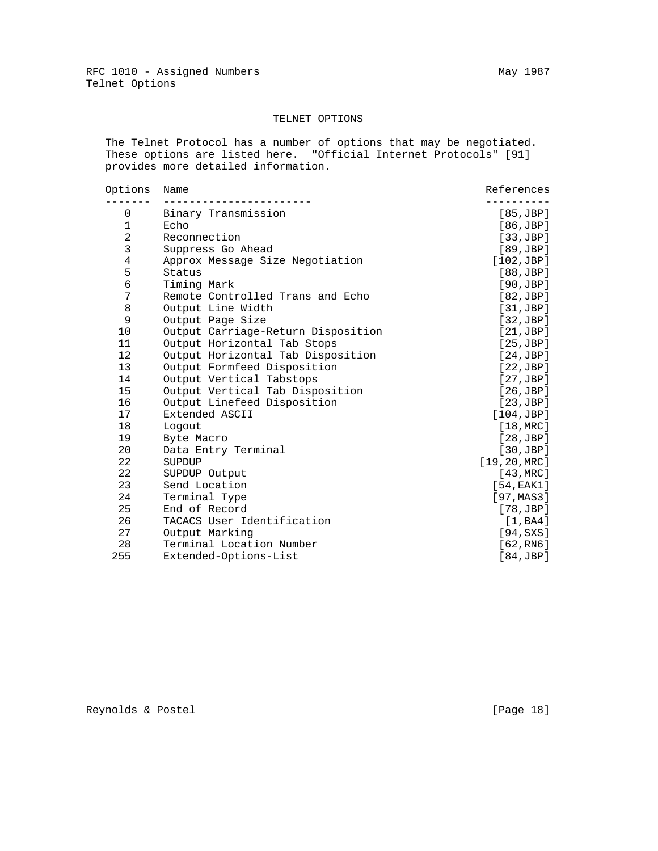# TELNET OPTIONS

 The Telnet Protocol has a number of options that may be negotiated. These options are listed here. "Official Internet Protocols" [91] provides more detailed information.

| Options        | Name                               | References    |
|----------------|------------------------------------|---------------|
| 0              | Binary Transmission                | [85, JBP]     |
| $\mathbf 1$    | Echo                               | [86, JBP]     |
| $\overline{a}$ | Reconnection                       | [33,JBP]      |
| 3              | Suppress Go Ahead                  | [89,JBP]      |
| $\overline{4}$ | Approx Message Size Negotiation    | [102,JBP]     |
| 5              | Status                             | [88, JBP]     |
| 6              | Timing Mark                        | [90,JBP]      |
| 7              | Remote Controlled Trans and Echo   | [82,JBP]      |
| 8              | Output Line Width                  | [31,JBP]      |
| 9              | Output Page Size                   | [32,JBP]      |
| 10             | Output Carriage-Return Disposition | [21,JBP]      |
| 11             | Output Horizontal Tab Stops        | [25,JBP]      |
| 12             | Output Horizontal Tab Disposition  | [24,JBP]      |
| 13             | Output Formfeed Disposition        | [22,JBP]      |
| 14             | Output Vertical Tabstops           | [27,JBP]      |
| 15             | Output Vertical Tab Disposition    | [26,JBP]      |
| 16             | Output Linefeed Disposition        | [23,JBP]      |
| 17             | Extended ASCII                     | [104,JBP]     |
| 18             | Logout                             | [18, MRC]     |
| 19             | Byte Macro                         | [28,JBP]      |
| 20             | Data Entry Terminal                | [30,JBP]      |
| 22             | SUPDUP                             | [19, 20, MRC] |
| 22             | SUPDUP Output                      | [43, MRC]     |
| 23             | Send Location                      | [54, EAK1]    |
| 24             | Terminal Type                      | [97, MAS3]    |
| 25             | End of Record                      | [78, JBP]     |
| 26             | TACACS User Identification         | [1,BA4]       |
| 27             | Output Marking                     | [94, SXS]     |
| 28             | Terminal Location Number           | [62, RN6]     |
| 255            | Extended-Options-List              | [84,JBP]      |

Reynolds & Postel [Page 18]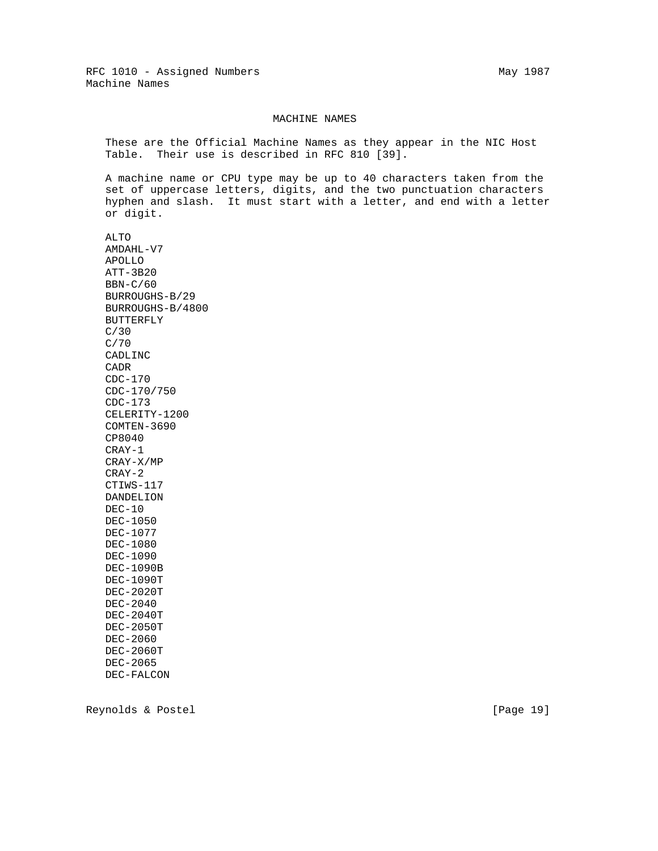#### MACHINE NAMES

 These are the Official Machine Names as they appear in the NIC Host Table. Their use is described in RFC 810 [39].

 A machine name or CPU type may be up to 40 characters taken from the set of uppercase letters, digits, and the two punctuation characters hyphen and slash. It must start with a letter, and end with a letter or digit.

 ALTO AMDAHL-V7 APOLLO ATT-3B20 BBN-C/60 BURROUGHS-B/29 BURROUGHS-B/4800 BUTTERFLY C/30 C/70 CADLINC CADR CDC-170 CDC-170/750 CDC-173 CELERITY-1200 COMTEN-3690 CP8040 CRAY-1 CRAY-X/MP CRAY-2 CTIWS-117 DANDELION DEC-10 DEC-1050 DEC-1077 DEC-1080 DEC-1090 DEC-1090B DEC-1090T DEC-2020T DEC-2040 DEC-2040T DEC-2050T DEC-2060 DEC-2060T DEC-2065 DEC-FALCON

Reynolds & Postel [Page 19]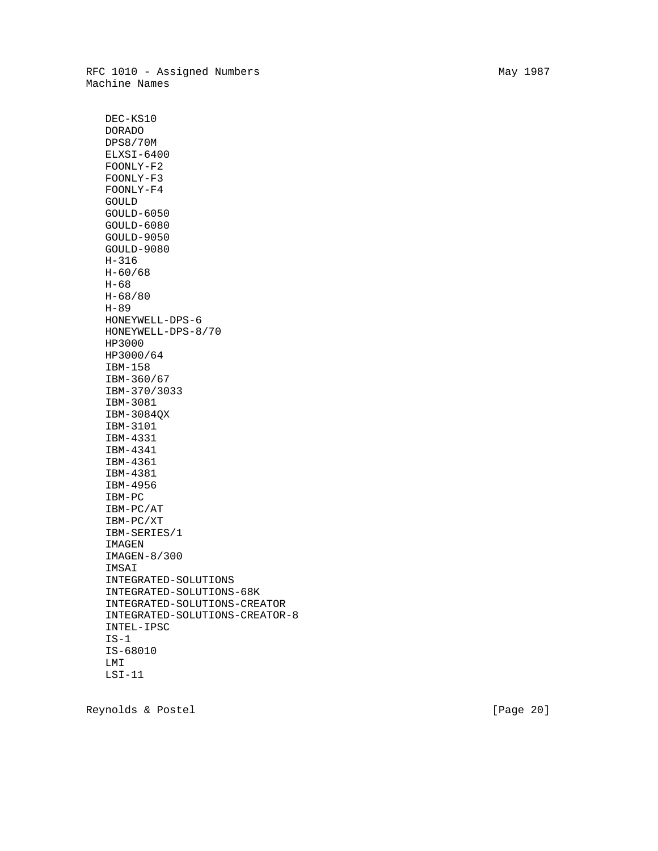DEC-KS10 DORADO DPS8/70M ELXSI-6400 FOONLY-F2 FOONLY-F3 FOONLY-F4 GOULD GOULD-6050 GOULD-6080 GOULD-9050 GOULD-9080 H-316 H-60/68 H-68 H-68/80 H-89 HONEYWELL-DPS-6 HONEYWELL-DPS-8/70 HP3000 HP3000/64 IBM-158 IBM-360/67 IBM-370/3033 IBM-3081 IBM-3084QX IBM-3101 IBM-4331 IBM-4341 IBM-4361 IBM-4381 IBM-4956 IBM-PC IBM-PC/AT IBM-PC/XT IBM-SERIES/1 IMAGEN IMAGEN-8/300 IMSAI INTEGRATED-SOLUTIONS INTEGRATED-SOLUTIONS-68K INTEGRATED-SOLUTIONS-CREATOR INTEGRATED-SOLUTIONS-CREATOR-8 INTEL-IPSC  $IS-1$  IS-68010 LMI LSI-11

Reynolds & Postel [Page 20]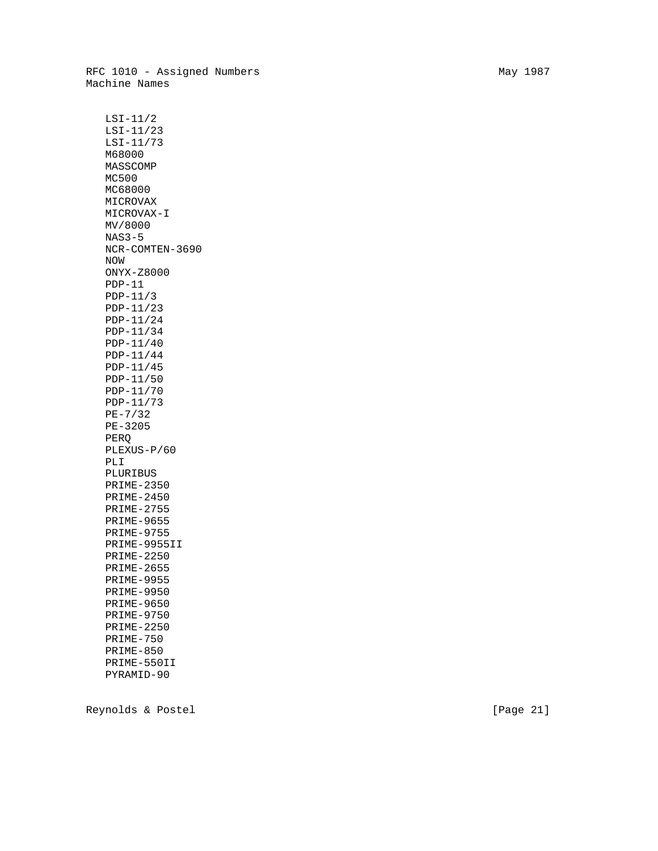RFC 1010 - Assigned Numbers May 1987 Machine Names

 LSI-11/2 LSI-11/23 LSI-11/73 M68000 MASSCOMP MC500 MC68000 MICROVAX MICROVAX-I MV/8000 NAS3-5 NCR-COMTEN-3690 NOW ONYX-Z8000 PDP-11 PDP-11/3 PDP-11/23 PDP-11/24 PDP-11/34 PDP-11/40 PDP-11/44 PDP-11/45 PDP-11/50 PDP-11/70 PDP-11/73 PE-7/32 PE-3205 PERQ PLEXUS-P/60 PLI PLURIBUS PRIME-2350 PRIME-2450 PRIME-2755 PRIME-9655 PRIME-9755 PRIME-9955II PRIME-2250 PRIME-2655 PRIME-9955 PRIME-9950 PRIME-9650 PRIME-9750 PRIME-2250 PRIME-750 PRIME-850 PRIME-550II PYRAMID-90

Reynolds & Postel [Page 21]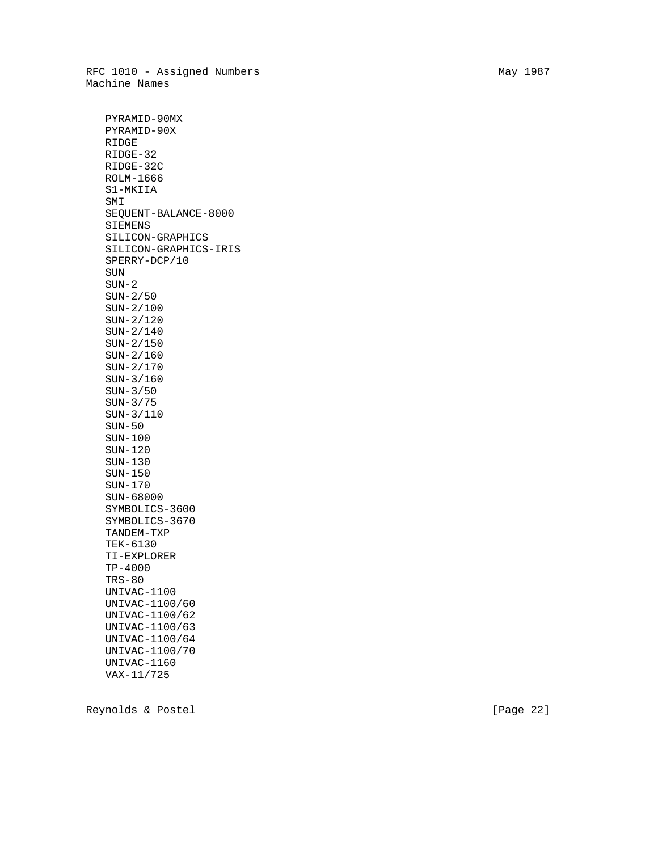RFC 1010 - Assigned Numbers May 1987 Machine Names

 PYRAMID-90MX PYRAMID-90X RIDGE RIDGE-32 RIDGE-32C ROLM-1666 S1-MKIIA SMI SEQUENT-BALANCE-8000 SIEMENS SILICON-GRAPHICS SILICON-GRAPHICS-IRIS SPERRY-DCP/10 SUN SUN-2 SUN-2/50 SUN-2/100 SUN-2/120 SUN-2/140 SUN-2/150 SUN-2/160 SUN-2/170 SUN-3/160 SUN-3/50 SUN-3/75 SUN-3/110 SUN-50 SUN-100 SUN-120 SUN-130 SUN-150 SUN-170 SUN-68000 SYMBOLICS-3600 SYMBOLICS-3670 TANDEM-TXP TEK-6130 TI-EXPLORER TP-4000 TRS-80 UNIVAC-1100 UNIVAC-1100/60 UNIVAC-1100/62 UNIVAC-1100/63 UNIVAC-1100/64 UNIVAC-1100/70 UNIVAC-1160 VAX-11/725

Reynolds & Postel [Page 22]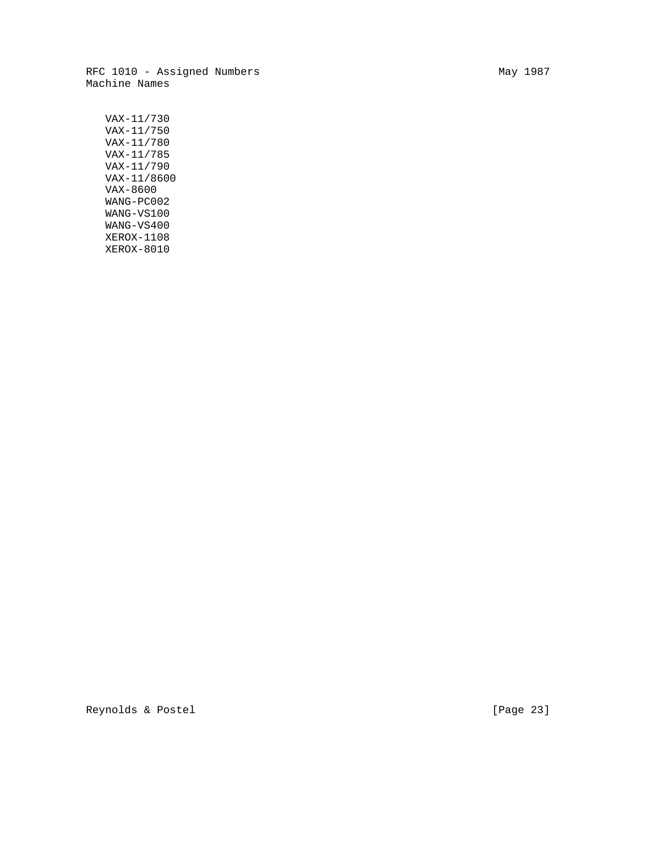RFC 1010 - Assigned Numbers May 1987 Machine Names

 VAX-11/730 VAX-11/750 VAX-11/780 VAX-11/785 VAX-11/790 VAX-11/8600 VAX-8600 WANG-PC002 WANG-VS100 WANG-VS400 XEROX-1108 XEROX-8010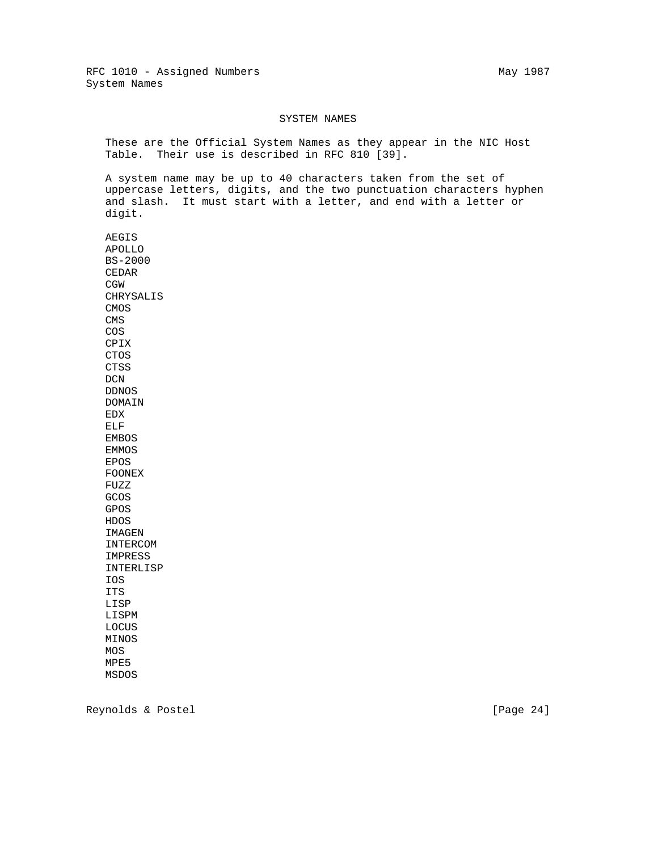#### SYSTEM NAMES

 These are the Official System Names as they appear in the NIC Host Table. Their use is described in RFC 810 [39].

 A system name may be up to 40 characters taken from the set of uppercase letters, digits, and the two punctuation characters hyphen and slash. It must start with a letter, and end with a letter or digit.

 AEGIS APOLLO BS-2000 CEDAR CGW CHRYSALIS CMOS CMS COS CPIX CTOS CTSS DCN DDNOS DOMAIN EDX ELF EMBOS EMMOS EPOS FOONEX FUZZ GCOS GPOS HDOS IMAGEN INTERCOM IMPRESS INTERLISP IOS ITS LISP LISPM LOCUS MINOS MOS MPE5 MSDOS

Reynolds & Postel [Page 24]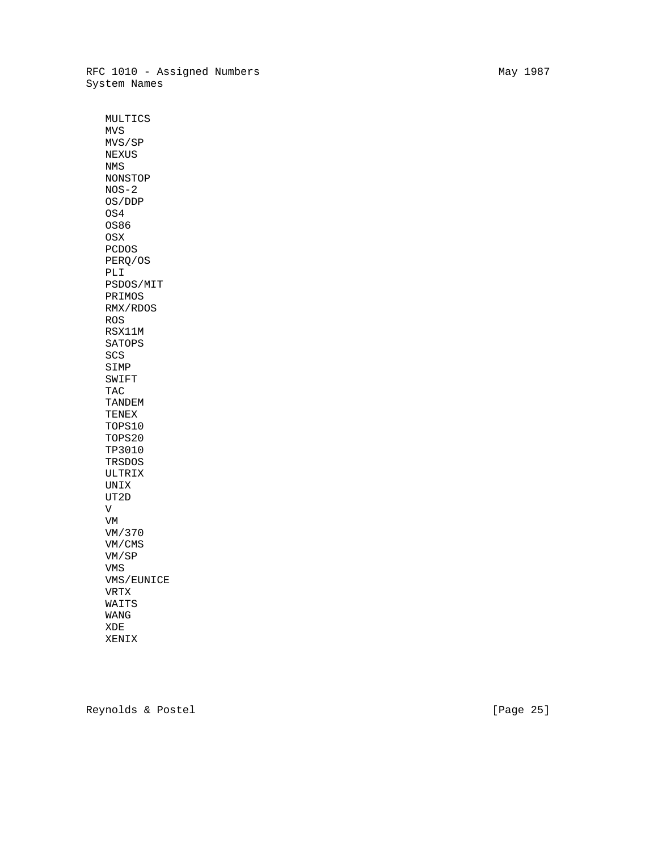RFC 1010 - Assigned Numbers May 1987 System Names

 MULTICS MVS MVS/SP NEXUS NMS NONSTOP NOS-2 OS/DDP OS4 OS86 OSX PCDOS PERQ/OS PLI PSDOS/MIT PRIMOS RMX/RDOS ROS RSX11M SATOPS SCS SIMP SWIFT TAC TANDEM TENEX TOPS10 TOPS20 TP3010 TRSDOS ULTRIX UNIX UT2D V VM VM/370 VM/CMS VM/SP VMS VMS/EUNICE VRTX WAITS WANG XDE XENIX

Reynolds & Postel [Page 25]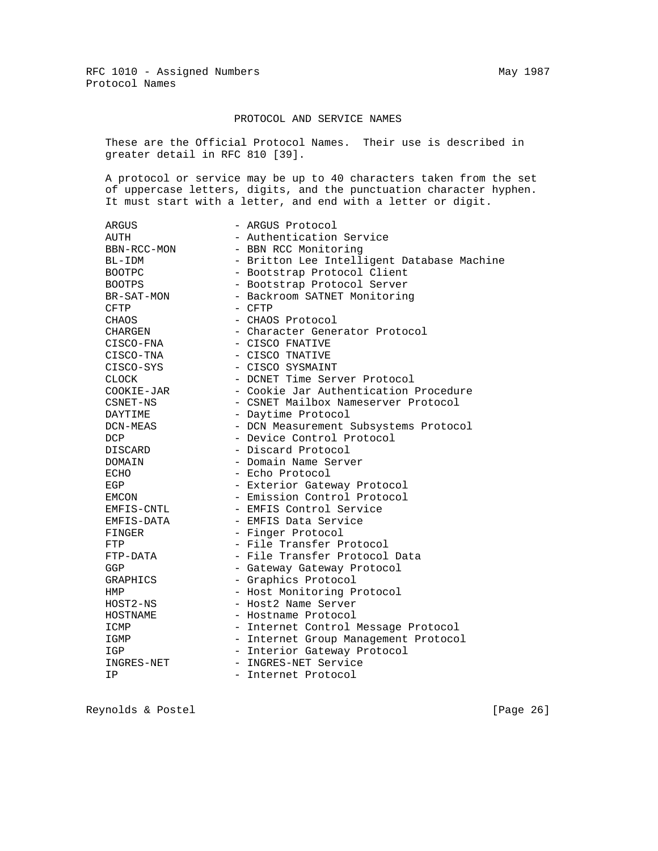## PROTOCOL AND SERVICE NAMES

 These are the Official Protocol Names. Their use is described in greater detail in RFC 810 [39].

 A protocol or service may be up to 40 characters taken from the set of uppercase letters, digits, and the punctuation character hyphen. It must start with a letter, and end with a letter or digit.

| <b>ARGUS</b>    | - ARGUS Protocol                           |
|-----------------|--------------------------------------------|
| AUTH            | - Authentication Service                   |
| BBN-RCC-MON     | - BBN RCC Monitoring                       |
| BL-IDM          | - Britton Lee Intelligent Database Machine |
| <b>BOOTPC</b>   | - Bootstrap Protocol Client                |
| <b>BOOTPS</b>   | - Bootstrap Protocol Server                |
| BR-SAT-MON      | - Backroom SATNET Monitoring               |
| <b>CFTP</b>     | - CFTP                                     |
| CHAOS           | - CHAOS Protocol                           |
| CHARGEN         | - Character Generator Protocol             |
| CISCO-FNA       | - CISCO FNATIVE                            |
| CISCO-TNA       | - CISCO TNATIVE                            |
| CISCO-SYS       | - CISCO SYSMAINT                           |
| <b>CLOCK</b>    | - DCNET Time Server Protocol               |
| COOKIE-JAR      | - Cookie Jar Authentication Procedure      |
| CSNET-NS        | - CSNET Mailbox Nameserver Protocol        |
| DAYTIME         | - Daytime Protocol                         |
| DCN-MEAS        | - DCN Measurement Subsystems Protocol      |
| <b>DCP</b>      | - Device Control Protocol                  |
| <b>DISCARD</b>  | - Discard Protocol                         |
| DOMAIN          | - Domain Name Server                       |
| <b>ECHO</b>     | - Echo Protocol                            |
| EGP             | - Exterior Gateway Protocol                |
| EMCON           | - Emission Control Protocol                |
| EMFIS-CNTL      | - EMFIS Control Service                    |
| EMFIS-DATA      | - EMFIS Data Service                       |
| FINGER          | - Finger Protocol                          |
| FTP             | - File Transfer Protocol                   |
| FTP-DATA        | - File Transfer Protocol Data              |
| GGP             | - Gateway Gateway Protocol                 |
| <b>GRAPHICS</b> | - Graphics Protocol                        |
| HMP             | - Host Monitoring Protocol                 |
| HOST2-NS        | - Host2 Name Server                        |
| HOSTNAME        | - Hostname Protocol                        |
| ICMP            | - Internet Control Message Protocol        |
| IGMP            | - Internet Group Management Protocol       |
| IGP             | - Interior Gateway Protocol                |
| INGRES-NET      | - INGRES-NET Service                       |
| ΙP              | - Internet Protocol                        |

Reynolds & Postel [Page 26]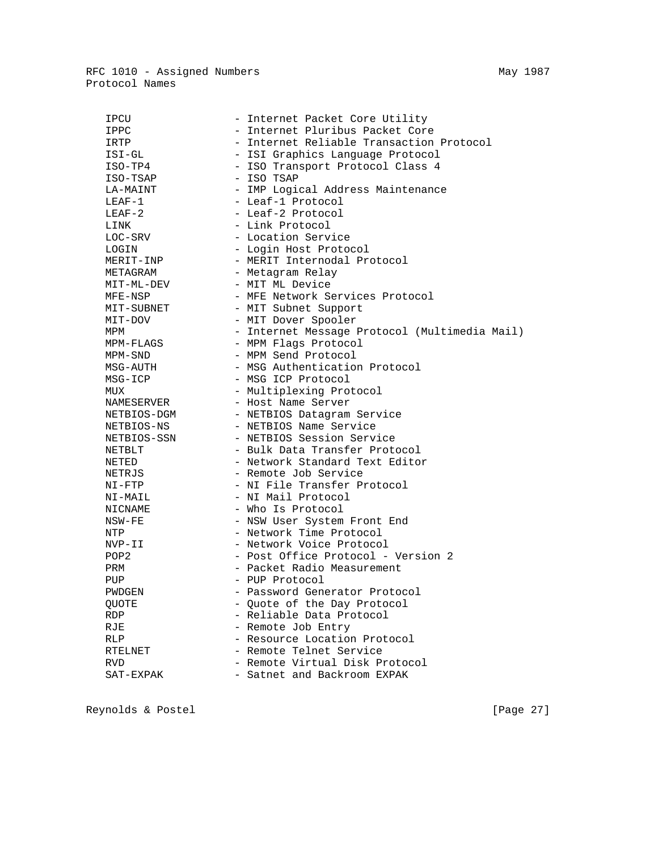RFC 1010 - Assigned Numbers May 1987 Protocol Names

| IPCU             | - Internet Packet Core Utility                |
|------------------|-----------------------------------------------|
| IPPC             | - Internet Pluribus Packet Core               |
| IRTP             | - Internet Reliable Transaction Protocol      |
| ISI-GL           | - ISI Graphics Language Protocol              |
| ISO-TP4          | - ISO Transport Protocol Class 4              |
| ISO-TSAP         | - ISO TSAP                                    |
| LA-MAINT         | - IMP Logical Address Maintenance             |
| $LEAF-1$         | - Leaf-1 Protocol                             |
| $LEAF-2$         | - Leaf-2 Protocol                             |
| LINK             | - Link Protocol                               |
| LOC-SRV          | - Location Service                            |
| LOGIN            | - Login Host Protocol                         |
| MERIT-INP        | - MERIT Internodal Protocol                   |
| METAGRAM         | - Metagram Relay                              |
| MIT-ML-DEV       | - MIT ML Device                               |
| MFE-NSP          | - MFE Network Services Protocol               |
| MIT-SUBNET       | - MIT Subnet Support                          |
| MIT-DOV          | - MIT Dover Spooler                           |
| MPM              | - Internet Message Protocol (Multimedia Mail) |
| MPM-FLAGS        | - MPM Flags Protocol                          |
| MPM-SND          | - MPM Send Protocol                           |
| MSG-AUTH         | - MSG Authentication Protocol                 |
| MSG-ICP          | - MSG ICP Protocol                            |
| MUX              | - Multiplexing Protocol                       |
| NAMESERVER       | - Host Name Server                            |
| NETBIOS-DGM      | - NETBIOS Datagram Service                    |
| NETBIOS-NS       | - NETBIOS Name Service                        |
| NETBIOS-SSN      | - NETBIOS Session Service                     |
| NETBLT           | - Bulk Data Transfer Protocol                 |
| NETED            | - Network Standard Text Editor                |
| NETRJS           | - Remote Job Service                          |
| $NI-FTP$         | - NI File Transfer Protocol                   |
| NI-MAIL          | - NI Mail Protocol                            |
| NICNAME          | - Who Is Protocol                             |
| NSW-FE           | - NSW User System Front End                   |
| NTP              | - Network Time Protocol                       |
| NVP-II           | - Network Voice Protocol                      |
| POP <sub>2</sub> | - Post Office Protocol - Version 2            |
| PRM              | - Packet Radio Measurement                    |
| PUP              | - PUP Protocol                                |
| PWDGEN           | - Password Generator Protocol                 |
| QUOTE            | - Quote of the Day Protocol                   |
| <b>RDP</b>       | - Reliable Data Protocol                      |
| RJE              | - Remote Job Entry                            |
| RLP              | - Resource Location Protocol                  |
| RTELNET          | - Remote Telnet Service                       |
| RVD              | - Remote Virtual Disk Protocol                |
| SAT-EXPAK        | - Satnet and Backroom EXPAK                   |
|                  |                                               |

Reynolds & Postel (Page 27)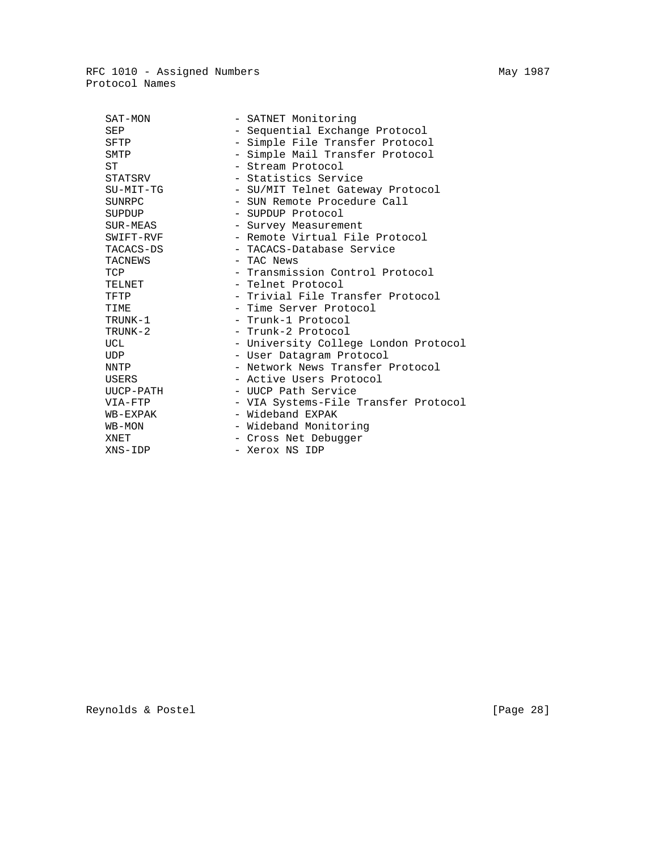RFC 1010 - Assigned Numbers May 1987 Protocol Names

| SAT-MON     | - SATNET Monitoring                  |
|-------------|--------------------------------------|
| SEP         | - Sequential Exchange Protocol       |
| SFTP        | - Simple File Transfer Protocol      |
| SMTP        | - Simple Mail Transfer Protocol      |
| SТ          | - Stream Protocol                    |
| STATSRV     | - Statistics Service                 |
| $SU-MIT-TG$ | - SU/MIT Telnet Gateway Protocol     |
| SUNRPC      | - SUN Remote Procedure Call          |
| SUPDUP      | - SUPDUP Protocol                    |
| SUR-MEAS    | - Survey Measurement                 |
| SWIFT-RVF   | - Remote Virtual File Protocol       |
| TACACS-DS   | - TACACS-Database Service            |
| TACNEWS     | - TAC News                           |
| TCP         | - Transmission Control Protocol      |
| TELNET      | - Telnet Protocol                    |
| TFTP        | - Trivial File Transfer Protocol     |
| TIME        | - Time Server Protocol               |
| TRUNK-1     | - Trunk-1 Protocol                   |
| TRUNK-2     | - Trunk-2 Protocol                   |
| UCL         | - University College London Protocol |
| <b>UDP</b>  | - User Datagram Protocol             |
| NNTP        | - Network News Transfer Protocol     |
| USERS       | - Active Users Protocol              |
| UUCP-PATH   | - UUCP Path Service                  |
| VIA-FTP     | - VIA Systems-File Transfer Protocol |
| WB-EXPAK    | - Wideband EXPAK                     |
| WB-MON      | - Wideband Monitoring                |
| XNET        | - Cross Net Debugger                 |
| XNS-IDP     | - Xerox NS IDP                       |
|             |                                      |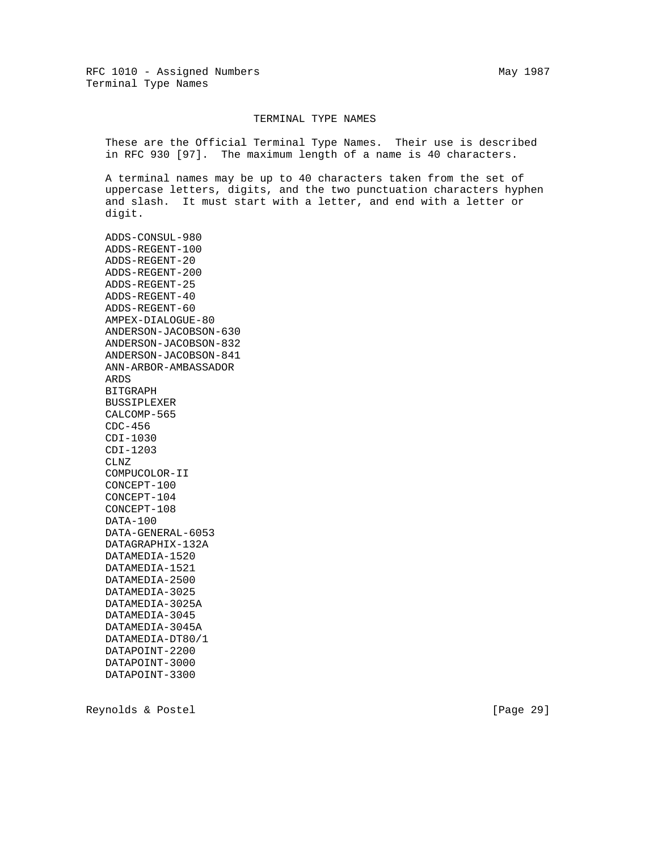#### TERMINAL TYPE NAMES

 These are the Official Terminal Type Names. Their use is described in RFC 930 [97]. The maximum length of a name is 40 characters.

 A terminal names may be up to 40 characters taken from the set of uppercase letters, digits, and the two punctuation characters hyphen and slash. It must start with a letter, and end with a letter or digit.

 ADDS-CONSUL-980 ADDS-REGENT-100 ADDS-REGENT-20 ADDS-REGENT-200 ADDS-REGENT-25 ADDS-REGENT-40 ADDS-REGENT-60 AMPEX-DIALOGUE-80 ANDERSON-JACOBSON-630 ANDERSON-JACOBSON-832 ANDERSON-JACOBSON-841 ANN-ARBOR-AMBASSADOR ARDS BITGRAPH BUSSIPLEXER CALCOMP-565 CDC-456 CDI-1030 CDI-1203 CLNZ COMPUCOLOR-II CONCEPT-100 CONCEPT-104 CONCEPT-108 DATA-100 DATA-GENERAL-6053 DATAGRAPHIX-132A DATAMEDIA-1520 DATAMEDIA-1521 DATAMEDIA-2500 DATAMEDIA-3025 DATAMEDIA-3025A DATAMEDIA-3045 DATAMEDIA-3045A DATAMEDIA-DT80/1 DATAPOINT-2200 DATAPOINT-3000 DATAPOINT-3300

Reynolds & Postel [Page 29]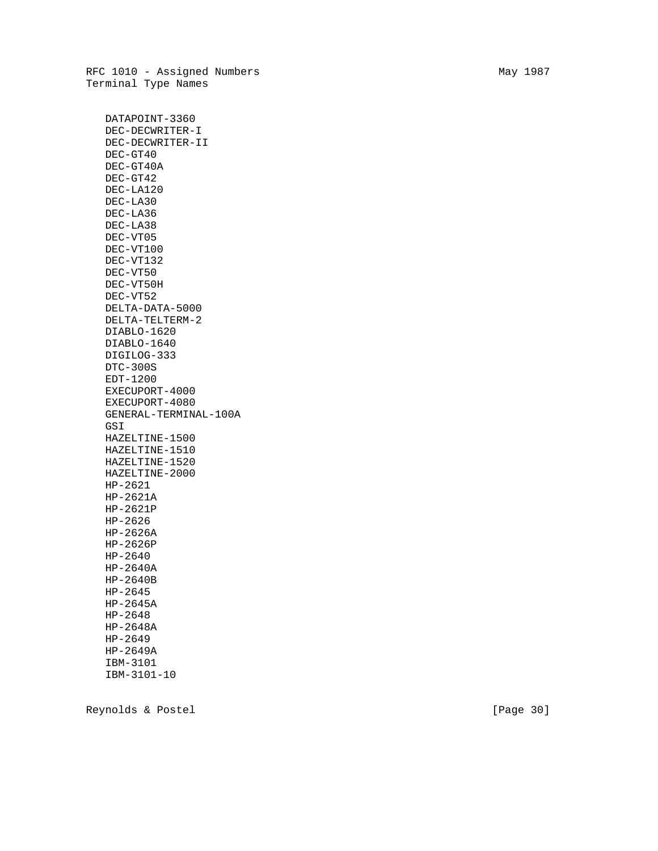RFC 1010 - Assigned Numbers May 1987 Terminal Type Names

 DATAPOINT-3360 DEC-DECWRITER-I DEC-DECWRITER-II DEC-GT40 DEC-GT40A DEC-GT42 DEC-LA120 DEC-LA30 DEC-LA36 DEC-LA38 DEC-VT05 DEC-VT100 DEC-VT132 DEC-VT50 DEC-VT50H DEC-VT52 DELTA-DATA-5000 DELTA-TELTERM-2 DIABLO-1620 DIABLO-1640 DIGILOG-333 DTC-300S EDT-1200 EXECUPORT-4000 EXECUPORT-4080 GENERAL-TERMINAL-100A GSI HAZELTINE-1500 HAZELTINE-1510 HAZELTINE-1520 HAZELTINE-2000 HP-2621 HP-2621A HP-2621P HP-2626 HP-2626A HP-2626P HP-2640 HP-2640A HP-2640B HP-2645 HP-2645A HP-2648 HP-2648A HP-2649 HP-2649A IBM-3101

Reynolds & Postel [Page 30]

IBM-3101-10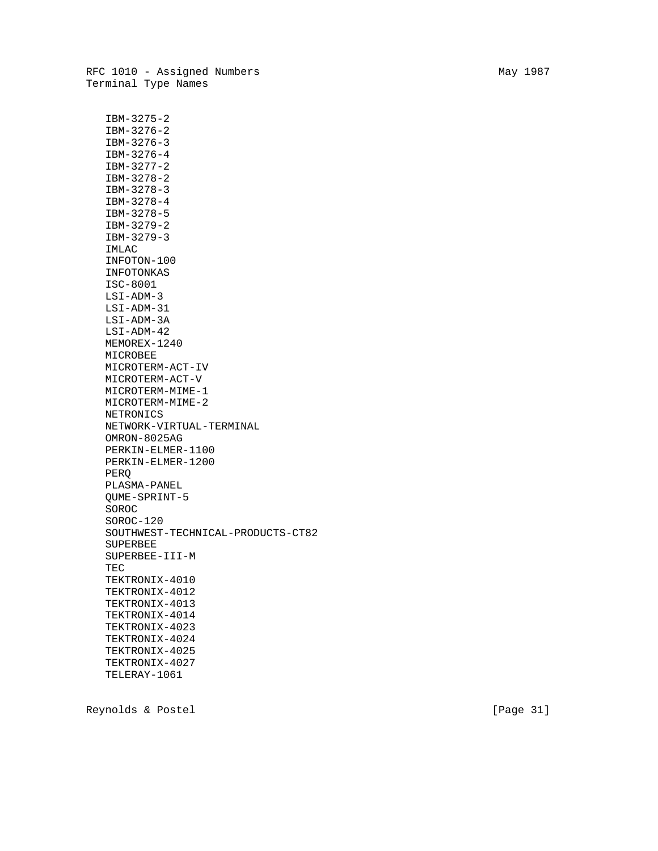IBM-3275-2 IBM-3276-2 IBM-3276-3 IBM-3276-4 IBM-3277-2 IBM-3278-2 IBM-3278-3 IBM-3278-4 IBM-3278-5 IBM-3279-2 IBM-3279-3 IMLAC INFOTON-100 INFOTONKAS ISC-8001 LSI-ADM-3 LSI-ADM-31 LSI-ADM-3A LSI-ADM-42 MEMOREX-1240 MICROBEE MICROTERM-ACT-IV MICROTERM-ACT-V MICROTERM-MIME-1 MICROTERM-MIME-2 NETRONICS NETWORK-VIRTUAL-TERMINAL OMRON-8025AG PERKIN-ELMER-1100 PERKIN-ELMER-1200 PERQ PLASMA-PANEL QUME-SPRINT-5 SOROC SOROC-120 SOUTHWEST-TECHNICAL-PRODUCTS-CT82 SUPERBEE SUPERBEE-III-M TEC TEKTRONIX-4010 TEKTRONIX-4012 TEKTRONIX-4013 TEKTRONIX-4014 TEKTRONIX-4023 TEKTRONIX-4024 TEKTRONIX-4025 TEKTRONIX-4027 TELERAY-1061

Reynolds & Postel [Page 31]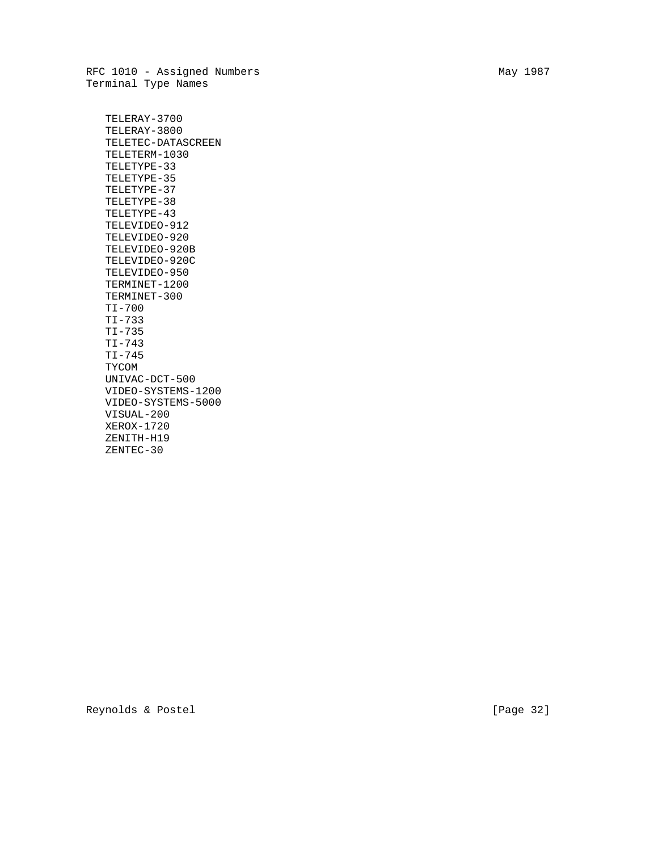RFC 1010 - Assigned Numbers May 1987 Terminal Type Names

 TELERAY-3700 TELERAY-3800 TELETEC-DATASCREEN TELETERM-1030 TELETYPE-33 TELETYPE-35 TELETYPE-37 TELETYPE-38 TELETYPE-43 TELEVIDEO-912 TELEVIDEO-920 TELEVIDEO-920B TELEVIDEO-920C TELEVIDEO-950 TERMINET-1200 TERMINET-300 TI-700 TI-733 TI-735 TI-743 TI-745 TYCOM UNIVAC-DCT-500 VIDEO-SYSTEMS-1200 VIDEO-SYSTEMS-5000 VISUAL-200 XEROX-1720 ZENITH-H19 ZENTEC-30

Reynolds & Postel [Page 32]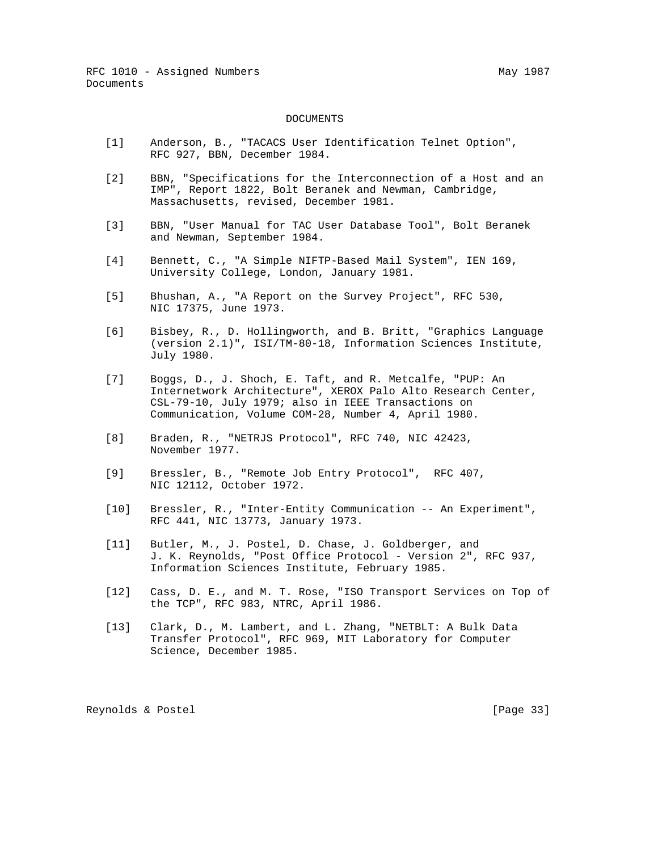#### DOCUMENTS

- [1] Anderson, B., "TACACS User Identification Telnet Option", RFC 927, BBN, December 1984.
- [2] BBN, "Specifications for the Interconnection of a Host and an IMP", Report 1822, Bolt Beranek and Newman, Cambridge, Massachusetts, revised, December 1981.
- [3] BBN, "User Manual for TAC User Database Tool", Bolt Beranek and Newman, September 1984.
- [4] Bennett, C., "A Simple NIFTP-Based Mail System", IEN 169, University College, London, January 1981.
- [5] Bhushan, A., "A Report on the Survey Project", RFC 530, NIC 17375, June 1973.
- [6] Bisbey, R., D. Hollingworth, and B. Britt, "Graphics Language (version 2.1)", ISI/TM-80-18, Information Sciences Institute, July 1980.
- [7] Boggs, D., J. Shoch, E. Taft, and R. Metcalfe, "PUP: An Internetwork Architecture", XEROX Palo Alto Research Center, CSL-79-10, July 1979; also in IEEE Transactions on Communication, Volume COM-28, Number 4, April 1980.
- [8] Braden, R., "NETRJS Protocol", RFC 740, NIC 42423, November 1977.
- [9] Bressler, B., "Remote Job Entry Protocol", RFC 407, NIC 12112, October 1972.
- [10] Bressler, R., "Inter-Entity Communication -- An Experiment", RFC 441, NIC 13773, January 1973.
- [11] Butler, M., J. Postel, D. Chase, J. Goldberger, and J. K. Reynolds, "Post Office Protocol - Version 2", RFC 937, Information Sciences Institute, February 1985.
- [12] Cass, D. E., and M. T. Rose, "ISO Transport Services on Top of the TCP", RFC 983, NTRC, April 1986.
- [13] Clark, D., M. Lambert, and L. Zhang, "NETBLT: A Bulk Data Transfer Protocol", RFC 969, MIT Laboratory for Computer Science, December 1985.

Reynolds & Postel [Page 33]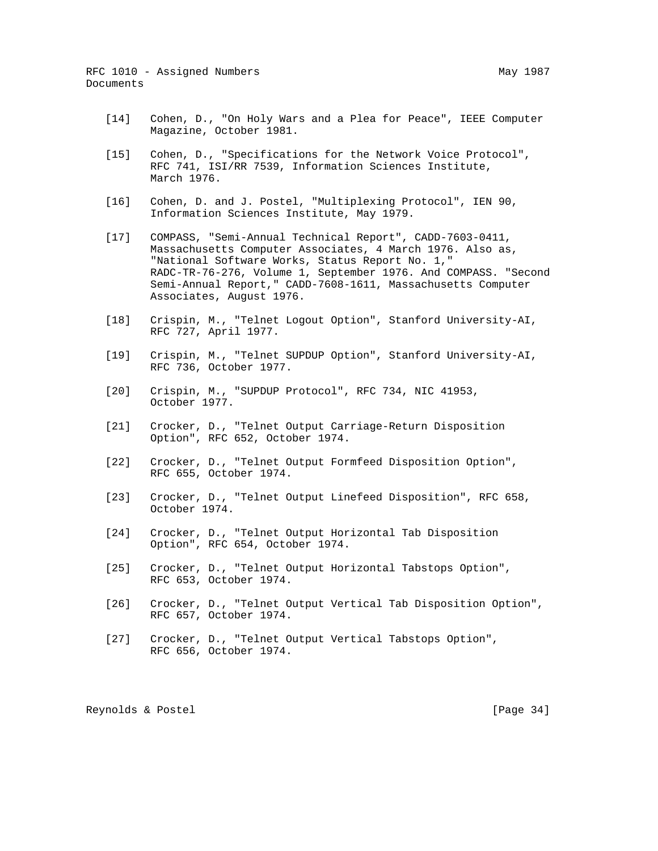- [14] Cohen, D., "On Holy Wars and a Plea for Peace", IEEE Computer Magazine, October 1981.
- [15] Cohen, D., "Specifications for the Network Voice Protocol", RFC 741, ISI/RR 7539, Information Sciences Institute, March 1976.
- [16] Cohen, D. and J. Postel, "Multiplexing Protocol", IEN 90, Information Sciences Institute, May 1979.
- [17] COMPASS, "Semi-Annual Technical Report", CADD-7603-0411, Massachusetts Computer Associates, 4 March 1976. Also as, "National Software Works, Status Report No. 1," RADC-TR-76-276, Volume 1, September 1976. And COMPASS. "Second Semi-Annual Report," CADD-7608-1611, Massachusetts Computer Associates, August 1976.
- [18] Crispin, M., "Telnet Logout Option", Stanford University-AI, RFC 727, April 1977.
- [19] Crispin, M., "Telnet SUPDUP Option", Stanford University-AI, RFC 736, October 1977.
- [20] Crispin, M., "SUPDUP Protocol", RFC 734, NIC 41953, October 1977.
- [21] Crocker, D., "Telnet Output Carriage-Return Disposition Option", RFC 652, October 1974.
- [22] Crocker, D., "Telnet Output Formfeed Disposition Option", RFC 655, October 1974.
- [23] Crocker, D., "Telnet Output Linefeed Disposition", RFC 658, October 1974.
- [24] Crocker, D., "Telnet Output Horizontal Tab Disposition Option", RFC 654, October 1974.
- [25] Crocker, D., "Telnet Output Horizontal Tabstops Option", RFC 653, October 1974.
- [26] Crocker, D., "Telnet Output Vertical Tab Disposition Option", RFC 657, October 1974.
- [27] Crocker, D., "Telnet Output Vertical Tabstops Option", RFC 656, October 1974.

Reynolds & Postel [Page 34]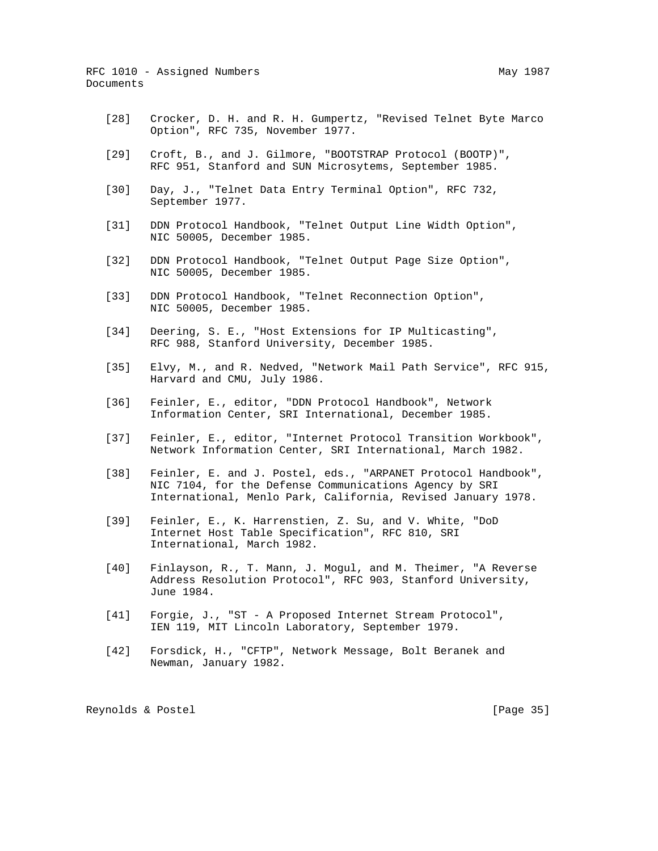- [28] Crocker, D. H. and R. H. Gumpertz, "Revised Telnet Byte Marco Option", RFC 735, November 1977.
- [29] Croft, B., and J. Gilmore, "BOOTSTRAP Protocol (BOOTP)", RFC 951, Stanford and SUN Microsytems, September 1985.
- [30] Day, J., "Telnet Data Entry Terminal Option", RFC 732, September 1977.
- [31] DDN Protocol Handbook, "Telnet Output Line Width Option", NIC 50005, December 1985.
- [32] DDN Protocol Handbook, "Telnet Output Page Size Option", NIC 50005, December 1985.
- [33] DDN Protocol Handbook, "Telnet Reconnection Option", NIC 50005, December 1985.
- [34] Deering, S. E., "Host Extensions for IP Multicasting", RFC 988, Stanford University, December 1985.
- [35] Elvy, M., and R. Nedved, "Network Mail Path Service", RFC 915, Harvard and CMU, July 1986.
- [36] Feinler, E., editor, "DDN Protocol Handbook", Network Information Center, SRI International, December 1985.
- [37] Feinler, E., editor, "Internet Protocol Transition Workbook", Network Information Center, SRI International, March 1982.
- [38] Feinler, E. and J. Postel, eds., "ARPANET Protocol Handbook", NIC 7104, for the Defense Communications Agency by SRI International, Menlo Park, California, Revised January 1978.
- [39] Feinler, E., K. Harrenstien, Z. Su, and V. White, "DoD Internet Host Table Specification", RFC 810, SRI International, March 1982.
- [40] Finlayson, R., T. Mann, J. Mogul, and M. Theimer, "A Reverse Address Resolution Protocol", RFC 903, Stanford University, June 1984.
- [41] Forgie, J., "ST A Proposed Internet Stream Protocol", IEN 119, MIT Lincoln Laboratory, September 1979.
- [42] Forsdick, H., "CFTP", Network Message, Bolt Beranek and Newman, January 1982.

Reynolds & Postel [Page 35]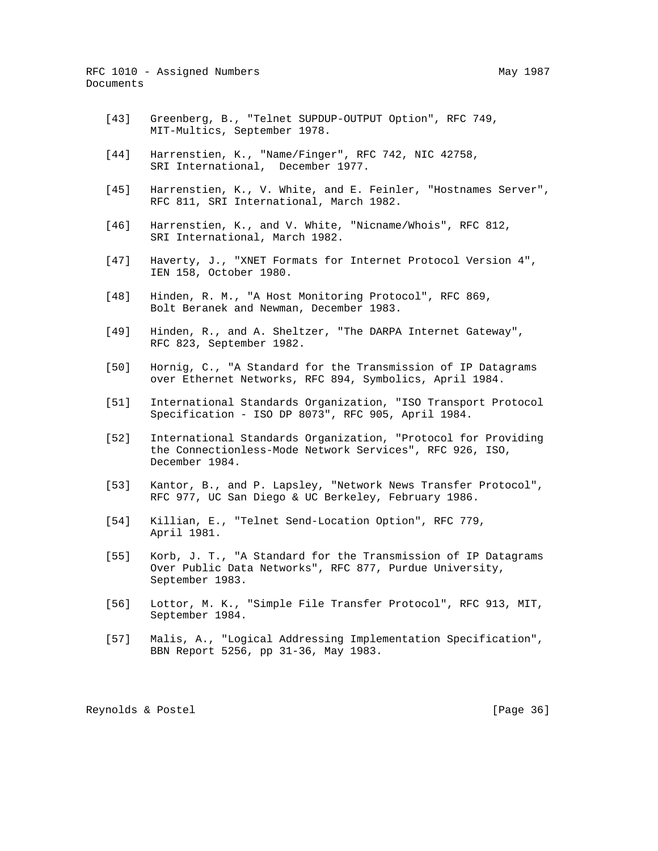- [43] Greenberg, B., "Telnet SUPDUP-OUTPUT Option", RFC 749, MIT-Multics, September 1978.
- [44] Harrenstien, K., "Name/Finger", RFC 742, NIC 42758, SRI International, December 1977.
- [45] Harrenstien, K., V. White, and E. Feinler, "Hostnames Server", RFC 811, SRI International, March 1982.
- [46] Harrenstien, K., and V. White, "Nicname/Whois", RFC 812, SRI International, March 1982.
- [47] Haverty, J., "XNET Formats for Internet Protocol Version 4", IEN 158, October 1980.
- [48] Hinden, R. M., "A Host Monitoring Protocol", RFC 869, Bolt Beranek and Newman, December 1983.
- [49] Hinden, R., and A. Sheltzer, "The DARPA Internet Gateway", RFC 823, September 1982.
- [50] Hornig, C., "A Standard for the Transmission of IP Datagrams over Ethernet Networks, RFC 894, Symbolics, April 1984.
- [51] International Standards Organization, "ISO Transport Protocol Specification - ISO DP 8073", RFC 905, April 1984.
- [52] International Standards Organization, "Protocol for Providing the Connectionless-Mode Network Services", RFC 926, ISO, December 1984.
- [53] Kantor, B., and P. Lapsley, "Network News Transfer Protocol", RFC 977, UC San Diego & UC Berkeley, February 1986.
- [54] Killian, E., "Telnet Send-Location Option", RFC 779, April 1981.
- [55] Korb, J. T., "A Standard for the Transmission of IP Datagrams Over Public Data Networks", RFC 877, Purdue University, September 1983.
- [56] Lottor, M. K., "Simple File Transfer Protocol", RFC 913, MIT, September 1984.
- [57] Malis, A., "Logical Addressing Implementation Specification", BBN Report 5256, pp 31-36, May 1983.

Reynolds & Postel [Page 36]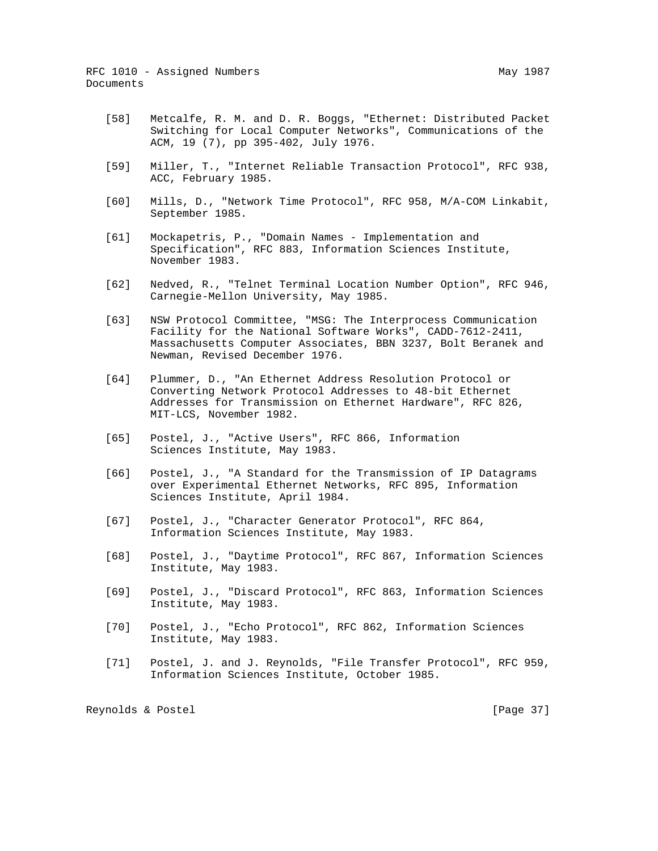- [58] Metcalfe, R. M. and D. R. Boggs, "Ethernet: Distributed Packet Switching for Local Computer Networks", Communications of the ACM, 19 (7), pp 395-402, July 1976.
- [59] Miller, T., "Internet Reliable Transaction Protocol", RFC 938, ACC, February 1985.
- [60] Mills, D., "Network Time Protocol", RFC 958, M/A-COM Linkabit, September 1985.
- [61] Mockapetris, P., "Domain Names Implementation and Specification", RFC 883, Information Sciences Institute, November 1983.
- [62] Nedved, R., "Telnet Terminal Location Number Option", RFC 946, Carnegie-Mellon University, May 1985.
- [63] NSW Protocol Committee, "MSG: The Interprocess Communication Facility for the National Software Works", CADD-7612-2411, Massachusetts Computer Associates, BBN 3237, Bolt Beranek and Newman, Revised December 1976.
- [64] Plummer, D., "An Ethernet Address Resolution Protocol or Converting Network Protocol Addresses to 48-bit Ethernet Addresses for Transmission on Ethernet Hardware", RFC 826, MIT-LCS, November 1982.
- [65] Postel, J., "Active Users", RFC 866, Information Sciences Institute, May 1983.
- [66] Postel, J., "A Standard for the Transmission of IP Datagrams over Experimental Ethernet Networks, RFC 895, Information Sciences Institute, April 1984.
- [67] Postel, J., "Character Generator Protocol", RFC 864, Information Sciences Institute, May 1983.
- [68] Postel, J., "Daytime Protocol", RFC 867, Information Sciences Institute, May 1983.
- [69] Postel, J., "Discard Protocol", RFC 863, Information Sciences Institute, May 1983.
- [70] Postel, J., "Echo Protocol", RFC 862, Information Sciences Institute, May 1983.
- [71] Postel, J. and J. Reynolds, "File Transfer Protocol", RFC 959, Information Sciences Institute, October 1985.

Reynolds & Postel [Page 37]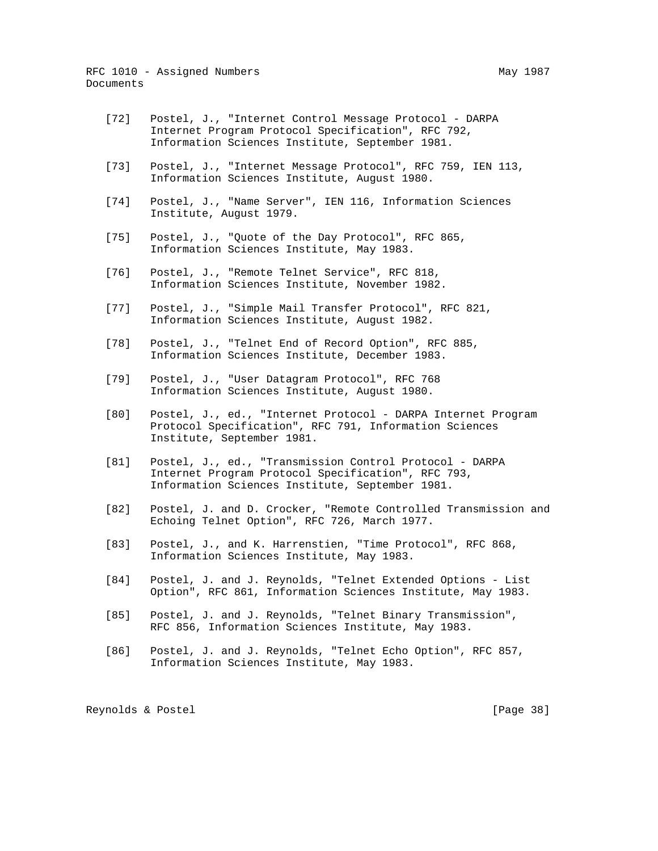- [72] Postel, J., "Internet Control Message Protocol DARPA Internet Program Protocol Specification", RFC 792, Information Sciences Institute, September 1981.
- [73] Postel, J., "Internet Message Protocol", RFC 759, IEN 113, Information Sciences Institute, August 1980.
- [74] Postel, J., "Name Server", IEN 116, Information Sciences Institute, August 1979.
- [75] Postel, J., "Quote of the Day Protocol", RFC 865, Information Sciences Institute, May 1983.
- [76] Postel, J., "Remote Telnet Service", RFC 818, Information Sciences Institute, November 1982.
- [77] Postel, J., "Simple Mail Transfer Protocol", RFC 821, Information Sciences Institute, August 1982.
- [78] Postel, J., "Telnet End of Record Option", RFC 885, Information Sciences Institute, December 1983.
- [79] Postel, J., "User Datagram Protocol", RFC 768 Information Sciences Institute, August 1980.
- [80] Postel, J., ed., "Internet Protocol DARPA Internet Program Protocol Specification", RFC 791, Information Sciences Institute, September 1981.
- [81] Postel, J., ed., "Transmission Control Protocol DARPA Internet Program Protocol Specification", RFC 793, Information Sciences Institute, September 1981.
- [82] Postel, J. and D. Crocker, "Remote Controlled Transmission and Echoing Telnet Option", RFC 726, March 1977.
- [83] Postel, J., and K. Harrenstien, "Time Protocol", RFC 868, Information Sciences Institute, May 1983.
- [84] Postel, J. and J. Reynolds, "Telnet Extended Options List Option", RFC 861, Information Sciences Institute, May 1983.
- [85] Postel, J. and J. Reynolds, "Telnet Binary Transmission", RFC 856, Information Sciences Institute, May 1983.
- [86] Postel, J. and J. Reynolds, "Telnet Echo Option", RFC 857, Information Sciences Institute, May 1983.

Reynolds & Postel [Page 38]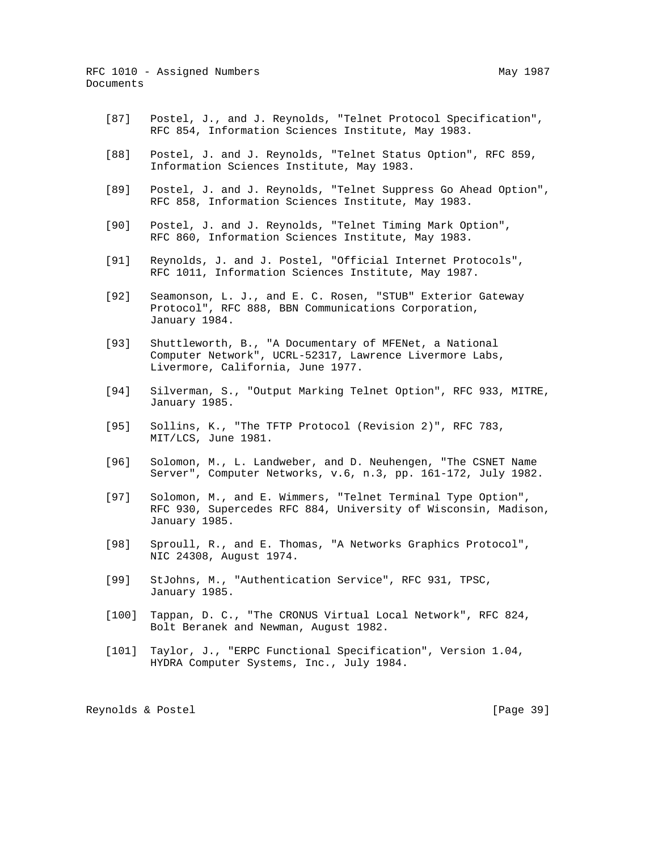- [88] Postel, J. and J. Reynolds, "Telnet Status Option", RFC 859, Information Sciences Institute, May 1983.
- [89] Postel, J. and J. Reynolds, "Telnet Suppress Go Ahead Option", RFC 858, Information Sciences Institute, May 1983.
- [90] Postel, J. and J. Reynolds, "Telnet Timing Mark Option", RFC 860, Information Sciences Institute, May 1983.
- [91] Reynolds, J. and J. Postel, "Official Internet Protocols", RFC 1011, Information Sciences Institute, May 1987.
- [92] Seamonson, L. J., and E. C. Rosen, "STUB" Exterior Gateway Protocol", RFC 888, BBN Communications Corporation, January 1984.
- [93] Shuttleworth, B., "A Documentary of MFENet, a National Computer Network", UCRL-52317, Lawrence Livermore Labs, Livermore, California, June 1977.
	- [94] Silverman, S., "Output Marking Telnet Option", RFC 933, MITRE, January 1985.
	- [95] Sollins, K., "The TFTP Protocol (Revision 2)", RFC 783, MIT/LCS, June 1981.
	- [96] Solomon, M., L. Landweber, and D. Neuhengen, "The CSNET Name Server", Computer Networks, v.6, n.3, pp. 161-172, July 1982.
	- [97] Solomon, M., and E. Wimmers, "Telnet Terminal Type Option", RFC 930, Supercedes RFC 884, University of Wisconsin, Madison, January 1985.
	- [98] Sproull, R., and E. Thomas, "A Networks Graphics Protocol", NIC 24308, August 1974.
	- [99] StJohns, M., "Authentication Service", RFC 931, TPSC, January 1985.
	- [100] Tappan, D. C., "The CRONUS Virtual Local Network", RFC 824, Bolt Beranek and Newman, August 1982.
	- [101] Taylor, J., "ERPC Functional Specification", Version 1.04, HYDRA Computer Systems, Inc., July 1984.

Reynolds & Postel [Page 39]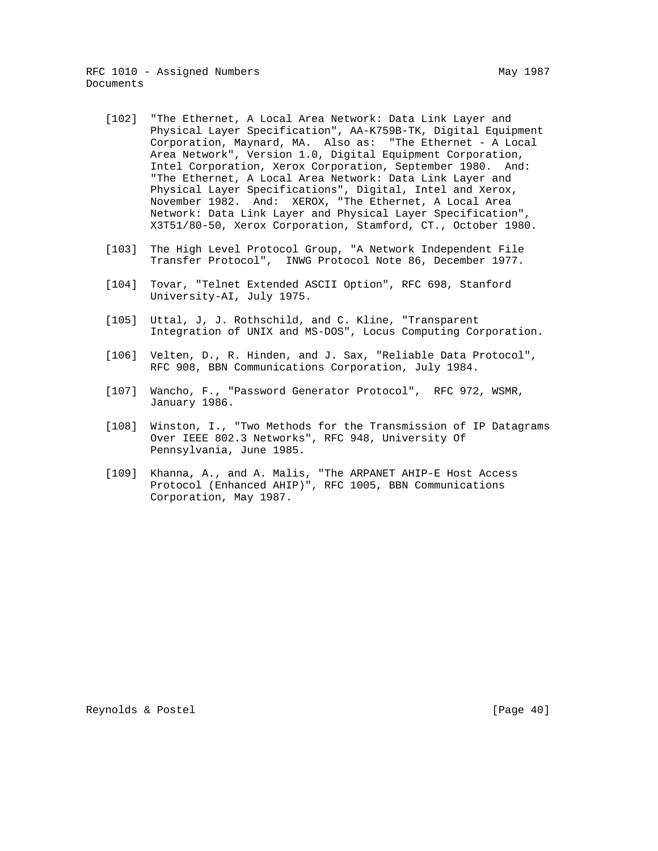- [102] "The Ethernet, A Local Area Network: Data Link Layer and Physical Layer Specification", AA-K759B-TK, Digital Equipment Corporation, Maynard, MA. Also as: "The Ethernet - A Local Area Network", Version 1.0, Digital Equipment Corporation, Intel Corporation, Xerox Corporation, September 1980. And: "The Ethernet, A Local Area Network: Data Link Layer and Physical Layer Specifications", Digital, Intel and Xerox, November 1982. And: XEROX, "The Ethernet, A Local Area Network: Data Link Layer and Physical Layer Specification", X3T51/80-50, Xerox Corporation, Stamford, CT., October 1980.
- [103] The High Level Protocol Group, "A Network Independent File Transfer Protocol", INWG Protocol Note 86, December 1977.
- [104] Tovar, "Telnet Extended ASCII Option", RFC 698, Stanford University-AI, July 1975.
- [105] Uttal, J, J. Rothschild, and C. Kline, "Transparent Integration of UNIX and MS-DOS", Locus Computing Corporation.
- [106] Velten, D., R. Hinden, and J. Sax, "Reliable Data Protocol", RFC 908, BBN Communications Corporation, July 1984.
- [107] Wancho, F., "Password Generator Protocol", RFC 972, WSMR, January 1986.
- [108] Winston, I., "Two Methods for the Transmission of IP Datagrams Over IEEE 802.3 Networks", RFC 948, University Of Pennsylvania, June 1985.
- [109] Khanna, A., and A. Malis, "The ARPANET AHIP-E Host Access Protocol (Enhanced AHIP)", RFC 1005, BBN Communications Corporation, May 1987.

Reynolds & Postel [Page 40]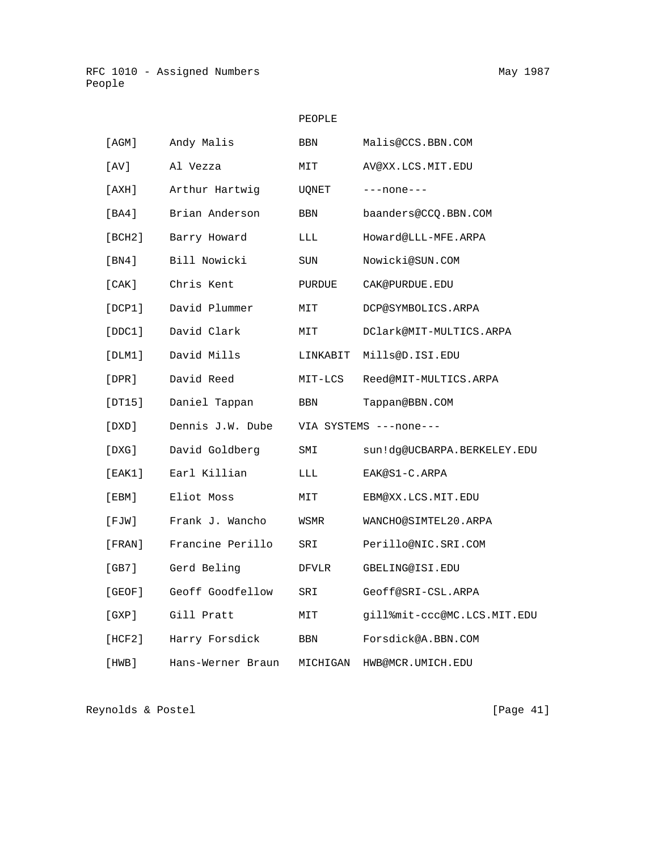# PEOPLE

| [AGM]       | Andy Malis        | BBN      | Malis@CCS.BBN.COM           |
|-------------|-------------------|----------|-----------------------------|
| [ AV ]      | Al Vezza          | MIT      | AV@XX.LCS.MIT.EDU           |
| [AXH]       | Arthur Hartwig    | UQNET    | $---none---$                |
| [BA4]       | Brian Anderson    | BBN      | baanders@CCQ.BBN.COM        |
| [BCH2]      | Barry Howard      | LLL      | Howard@LLL-MFE.ARPA         |
| [BN4]       | Bill Nowicki      | SUN      | Nowicki@SUN.COM             |
| [CAK]       | Chris Kent        | PURDUE   | CAK@PURDUE.EDU              |
| [DCP1]      | David Plummer     | MIT      | DCP@SYMBOLICS.ARPA          |
| [DDC1]      | David Clark       | MIT      | DClark@MIT-MULTICS.ARPA     |
| [DLM1]      | David Mills       | LINKABIT | Mills@D.ISI.EDU             |
| $[$ DPR $]$ | David Reed        | MIT-LCS  | Reed@MIT-MULTICS.ARPA       |
| [DT15]      | Daniel Tappan     | BBN      | Tappan@BBN.COM              |
| [DXD]       | Dennis J.W. Dube  |          | VIA SYSTEMS ---none---      |
| [DXG]       | David Goldberg    | SMI      | sun!dq@UCBARPA.BERKELEY.EDU |
| [EAK1]      | Earl Killian      | LLL      | EAK@S1-C.ARPA               |
| [EBM]       | Eliot Moss        | MIT      | EBM@XX.LCS.MIT.EDU          |
| [FJW]       | Frank J. Wancho   | WSMR     | WANCHO@SIMTEL20.ARPA        |
| [FRAN]      | Francine Perillo  | SRI      | Perillo@NIC.SRI.COM         |
| [GB7]       | Gerd Beling       | DFVLR    | GBELING@ISI.EDU             |
| [GEOF]      | Geoff Goodfellow  | SRI      | Geoff@SRI-CSL.ARPA          |
| [GXP]       | Gill Pratt        | MIT      | gill%mit-ccc@MC.LCS.MIT.EDU |
| [HCF2]      | Harry Forsdick    | BBN      | Forsdick@A.BBN.COM          |
| [HWB]       | Hans-Werner Braun | MICHIGAN | HWB@MCR.UMICH.EDU           |

Reynolds & Postel [Page 41]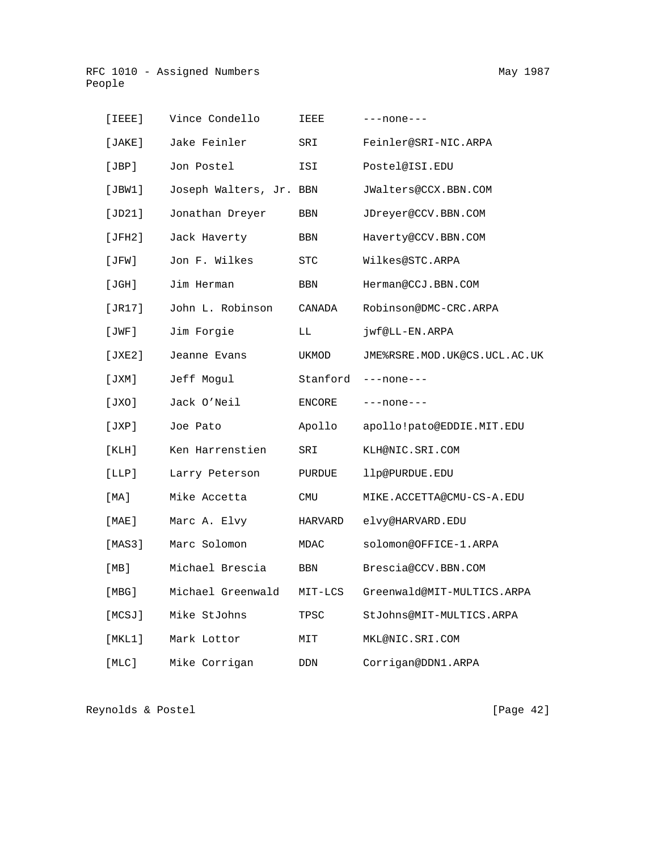| $[$ $IEEE]$           | Vince Condello          | IEEE     | $---none---$                 |
|-----------------------|-------------------------|----------|------------------------------|
|                       | [JAKE] Jake Feinler     | SRI      | Feinler@SRI-NIC.ARPA         |
|                       | [JBP] Jon Postel        | ISI      | Postel@ISI.EDU               |
| [JBW1]                | Joseph Walters, Jr. BBN |          | JWalters@CCX.BBN.COM         |
| [JD21]                | Jonathan Dreyer         | BBN      | JDreyer@CCV.BBN.COM          |
| [JFH2]                | Jack Haverty            | BBN      | Haverty@CCV.BBN.COM          |
| $[\, \mathrm{JFW}\,]$ | Jon F. Wilkes           | STC      | Wilkes@STC.ARPA              |
| $[\texttt{JGH}]$      | Jim Herman              | BBN      | Herman@CCJ.BBN.COM           |
| [JR17]                | John L. Robinson        | CANADA   | Robinson@DMC-CRC.ARPA        |
| $[\, \rm{JWF} \,]$    | Jim Forgie              | LL       | jwf@LL-EN.ARPA               |
| [JXE2]                | Jeanne Evans            | UKMOD    | JME%RSRE.MOD.UK@CS.UCL.AC.UK |
| [JXM]                 | Jeff Moqul              | Stanford | $---none---$                 |

| [JXM]  | Jeff Moqul        | Stanford   | $---none---$               |
|--------|-------------------|------------|----------------------------|
| [JXO]  | Jack O'Neil       | ENCORE     | $---none---$               |
| [JXP]  | Joe Pato          | Apollo     | apollo!pato@EDDIE.MIT.EDU  |
| [KLH]  | Ken Harrenstien   | SRI        | KLH@NIC.SRI.COM            |
| [LLP]  | Larry Peterson    | PURDUE     | llp@PURDUE.EDU             |
| [MA]   | Mike Accetta      | <b>CMU</b> | MIKE.ACCETTA@CMU-CS-A.EDU  |
| [MAE]  | Marc A. Elvy      | HARVARD    | elvy@HARVARD.EDU           |
| [MAS3] | Marc Solomon      | MDAC       | solomon@OFFICE-1.ARPA      |
| [MB]   | Michael Brescia   | <b>BBN</b> | Brescia@CCV.BBN.COM        |
| [MBG]  | Michael Greenwald | MIT-LCS    | Greenwald@MIT-MULTICS.ARPA |
| [MCSJ] | Mike StJohns      | TPSC       | StJohns@MIT-MULTICS.ARPA   |

[MLC] Mike Corrigan DDN Corrigan@DDN1.ARPA

[MKL1] Mark Lottor MIT MKL@NIC.SRI.COM

Reynolds & Postel [Page 42]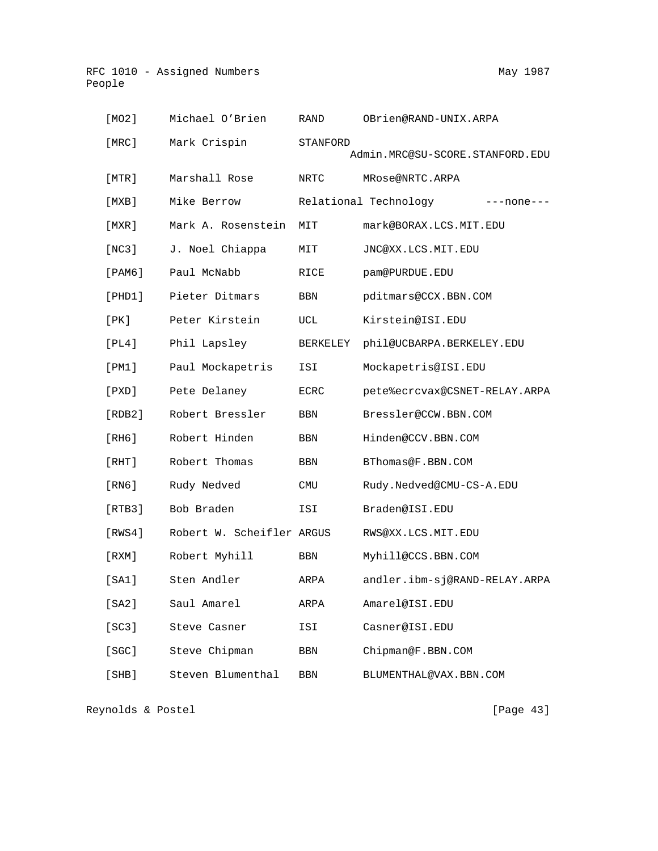| [MO2]         | Michael O'Brien           | RAND            | OBrien@RAND-UNIX.ARPA               |
|---------------|---------------------------|-----------------|-------------------------------------|
| [MRC]         | Mark Crispin              | <b>STANFORD</b> | Admin.MRC@SU-SCORE.STANFORD.EDU     |
| [MTR]         | Marshall Rose             | NRTC            | MRose@NRTC.ARPA                     |
| [MXB]         | Mike Berrow               |                 | Relational Technology<br>---none--- |
| [MXR]         | Mark A. Rosenstein        | MIT             | mark@BORAX.LCS.MIT.EDU              |
| [NC3]         | J. Noel Chiappa           | MIT             | JNC@XX.LCS.MIT.EDU                  |
| $[$ PAM $6$ ] | Paul McNabb               | RICE            | pam@PURDUE.EDU                      |
| [PHD1]        | Pieter Ditmars            | BBN             | pditmars@CCX.BBN.COM                |
| [PK]          | Peter Kirstein            | UCL             | Kirstein@ISI.EDU                    |
| [PL4]         | Phil Lapsley              | <b>BERKELEY</b> | phil@UCBARPA.BERKELEY.EDU           |
| [PM1]         | Paul Mockapetris          | ISI             | Mockapetris@ISI.EDU                 |
| $[$ PXD $]$   | Pete Delaney              | ECRC            | pete%ecrcvax@CSNET-RELAY.ARPA       |
| [RDB2]        | Robert Bressler           | <b>BBN</b>      | Bressler@CCW.BBN.COM                |
| [RH6]         | Robert Hinden             | <b>BBN</b>      | Hinden@CCV.BBN.COM                  |
| [RHT]         | Robert Thomas             | BBN             | BThomas@F.BBN.COM                   |
| [RN6]         | Rudy Nedved               | CMU             | Rudy.Nedved@CMU-CS-A.EDU            |
| [RTB3]        | Bob Braden                | ISI             | Braden@ISI.EDU                      |
| [RWS4]        | Robert W. Scheifler ARGUS |                 | RWS@XX.LCS.MIT.EDU                  |
| [RXM]         | Robert Myhill             | <b>BBN</b>      | Myhill@CCS.BBN.COM                  |
| [SA1]         | Sten Andler               | ARPA            | andler.ibm-sj@RAND-RELAY.ARPA       |
| [SA2]         | Saul Amarel               | ARPA            | Amarel@ISI.EDU                      |
| [SC3]         | Steve Casner              | ISI             | Casner@ISI.EDU                      |
| [SGC]         | Steve Chipman             | BBN             | Chipman@F.BBN.COM                   |
| [SHB]         | Steven Blumenthal         | $_{\rm BBN}$    | BLUMENTHAL@VAX.BBN.COM              |

Reynolds & Postel [Page 43]